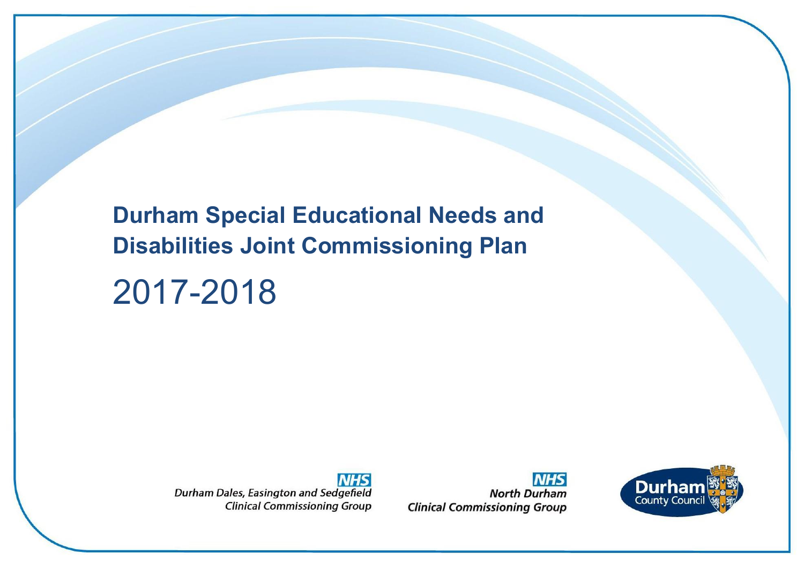**Durham Special Educational Needs and Disabilities Joint Commissioning Plan**

# 2017-2018

**NHS** Durham Dales, Easington and Sedgefield **Clinical Commissioning Group** 

**NHS North Durham Clinical Commissioning Group** 

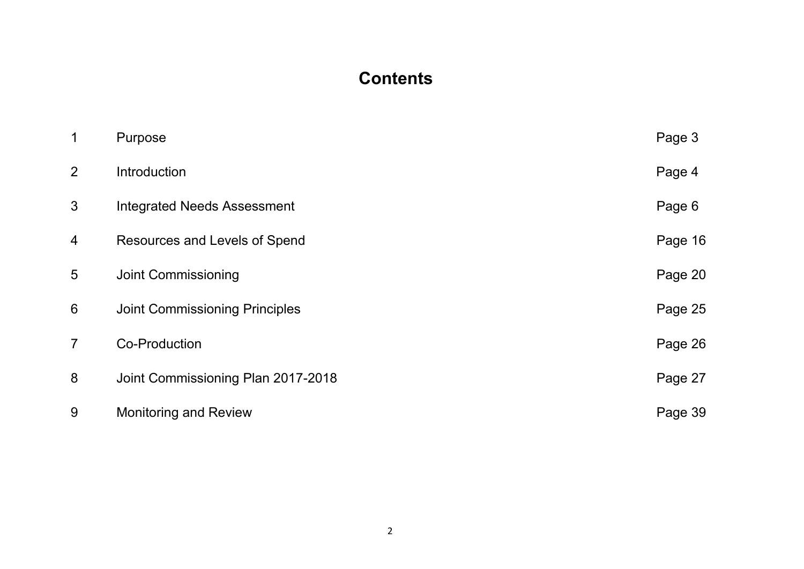# **Contents**

| 1              | Purpose                               | Page 3  |
|----------------|---------------------------------------|---------|
| 2              | Introduction                          | Page 4  |
| 3              | <b>Integrated Needs Assessment</b>    | Page 6  |
| 4              | Resources and Levels of Spend         | Page 16 |
| 5              | <b>Joint Commissioning</b>            | Page 20 |
| 6              | <b>Joint Commissioning Principles</b> | Page 25 |
| $\overline{7}$ | <b>Co-Production</b>                  | Page 26 |
| 8              | Joint Commissioning Plan 2017-2018    | Page 27 |
| 9              | Monitoring and Review                 | Page 39 |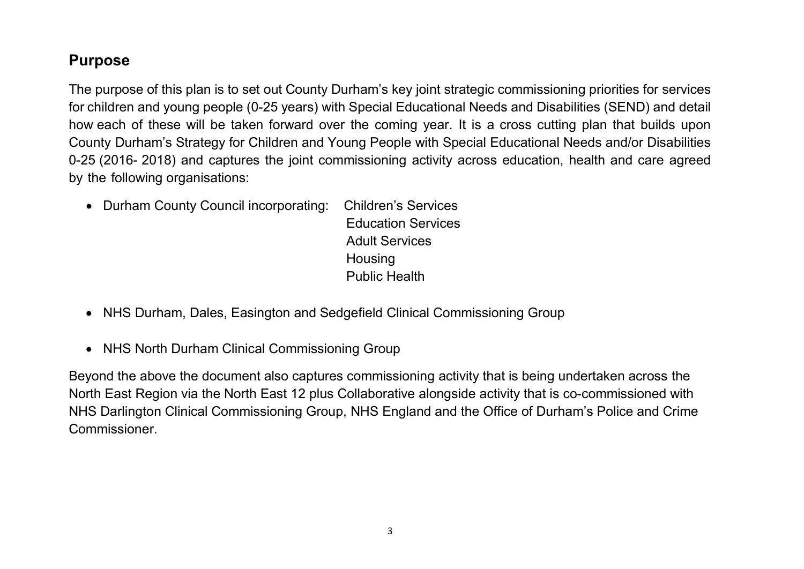# <span id="page-2-0"></span>**Purpose**

The purpose of this plan is to set out County Durham's key joint strategic commissioning priorities for services for children and young people (0-25 years) with Special Educational Needs and Disabilities (SEND) and detail how each of these will be taken forward over the coming year. It is a cross cutting plan that builds upon County Durham's Strategy for Children and Young People with Special Educational Needs and/or Disabilities 0-25 (2016- 2018) and captures the joint commissioning activity across education, health and care agreed by the following organisations:

- Durham County Council incorporating: Children's Services Education Services Adult Services **Housing** Public Health
- NHS Durham, Dales, Easington and Sedgefield Clinical Commissioning Group
- NHS North Durham Clinical Commissioning Group

Beyond the above the document also captures commissioning activity that is being undertaken across the North East Region via the North East 12 plus Collaborative alongside activity that is co-commissioned with NHS Darlington Clinical Commissioning Group, NHS England and the Office of Durham's Police and Crime Commissioner.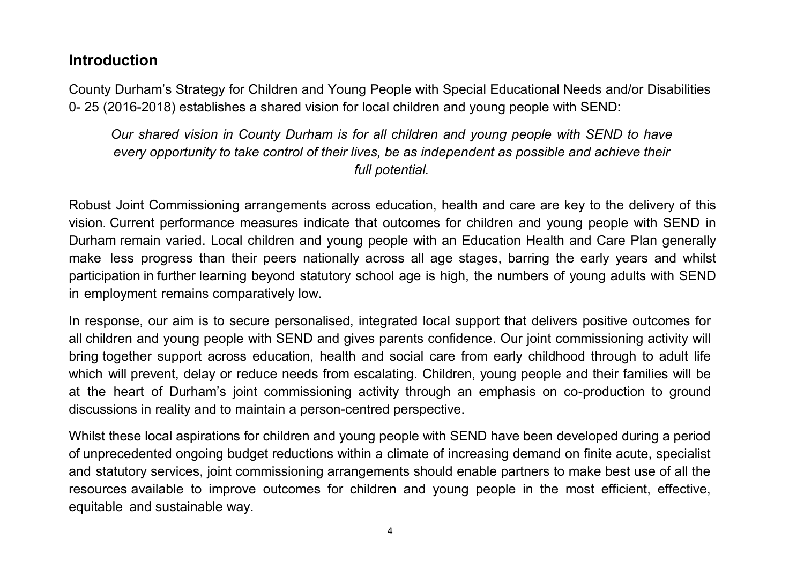## <span id="page-3-0"></span>**Introduction**

County Durham's Strategy for Children and Young People with Special Educational Needs and/or Disabilities 0- 25 (2016-2018) establishes a shared vision for local children and young people with SEND:

*Our shared vision in County Durham is for all children and young people with SEND to have every opportunity to take control of their lives, be as independent as possible and achieve their full potential.*

Robust Joint Commissioning arrangements across education, health and care are key to the delivery of this vision. Current performance measures indicate that outcomes for children and young people with SEND in Durham remain varied. Local children and young people with an Education Health and Care Plan generally make less progress than their peers nationally across all age stages, barring the early years and whilst participation in further learning beyond statutory school age is high, the numbers of young adults with SEND in employment remains comparatively low.

In response, our aim is to secure personalised, integrated local support that delivers positive outcomes for all children and young people with SEND and gives parents confidence. Our joint commissioning activity will bring together support across education, health and social care from early childhood through to adult life which will prevent, delay or reduce needs from escalating. Children, young people and their families will be at the heart of Durham's joint commissioning activity through an emphasis on co-production to ground discussions in reality and to maintain a person-centred perspective.

Whilst these local aspirations for children and young people with SEND have been developed during a period of unprecedented ongoing budget reductions within a climate of increasing demand on finite acute, specialist and statutory services, joint commissioning arrangements should enable partners to make best use of all the resources available to improve outcomes for children and young people in the most efficient, effective, equitable and sustainable way.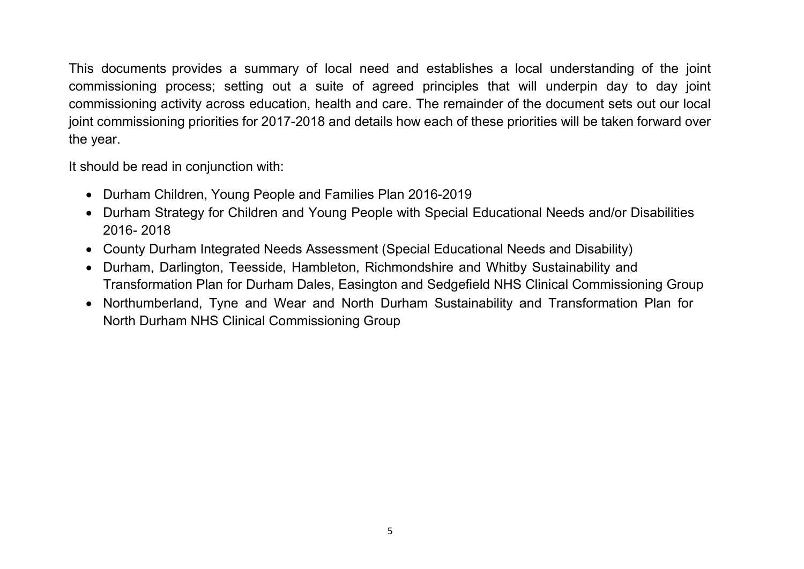This documents provides a summary of local need and establishes a local understanding of the joint commissioning process; setting out a suite of agreed principles that will underpin day to day joint commissioning activity across education, health and care. The remainder of the document sets out our local joint commissioning priorities for 2017-2018 and details how each of these priorities will be taken forward over the year.

It should be read in conjunction with:

- Durham Children, Young People and Families Plan 2016-2019
- Durham Strategy for Children and Young People with Special Educational Needs and/or Disabilities 2016- 2018
- County Durham Integrated Needs Assessment (Special Educational Needs and Disability)
- Durham, Darlington, Teesside, Hambleton, Richmondshire and Whitby Sustainability and Transformation Plan for Durham Dales, Easington and Sedgefield NHS Clinical Commissioning Group
- Northumberland, Tyne and Wear and North Durham Sustainability and Transformation Plan for North Durham NHS Clinical Commissioning Group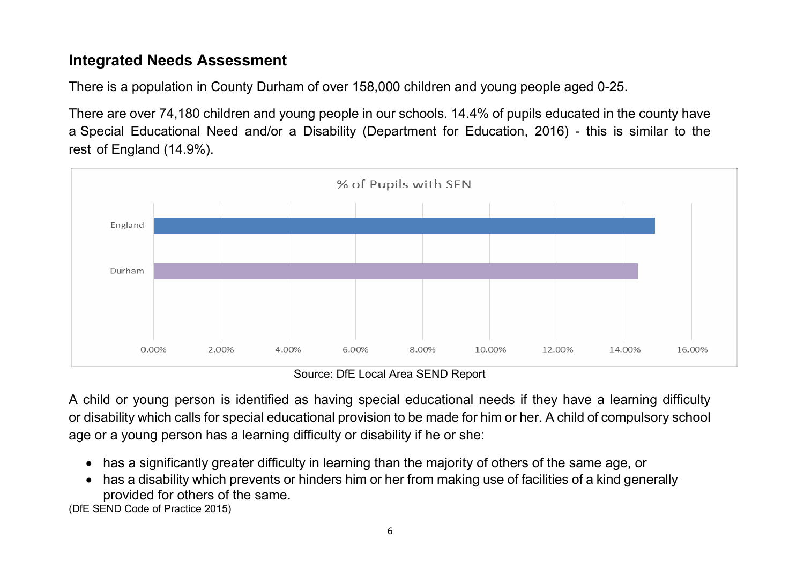# <span id="page-5-0"></span>**Integrated Needs Assessment**

There is a population in County Durham of over 158,000 children and young people aged 0-25.

There are over 74,180 children and young people in our schools. 14.4% of pupils educated in the county have a Special Educational Need and/or a Disability (Department for Education, 2016) - this is similar to the rest of England (14.9%).



Source: DfE Local Area SEND Report

A child or young person is identified as having special educational needs if they have a learning difficulty or disability which calls for special educational provision to be made for him or her. A child of compulsory school age or a young person has a learning difficulty or disability if he or she:

- has a significantly greater difficulty in learning than the majority of others of the same age, or
- has a disability which prevents or hinders him or her from making use of facilities of a kind generally provided for others of the same.

(DfE SEND Code of Practice 2015)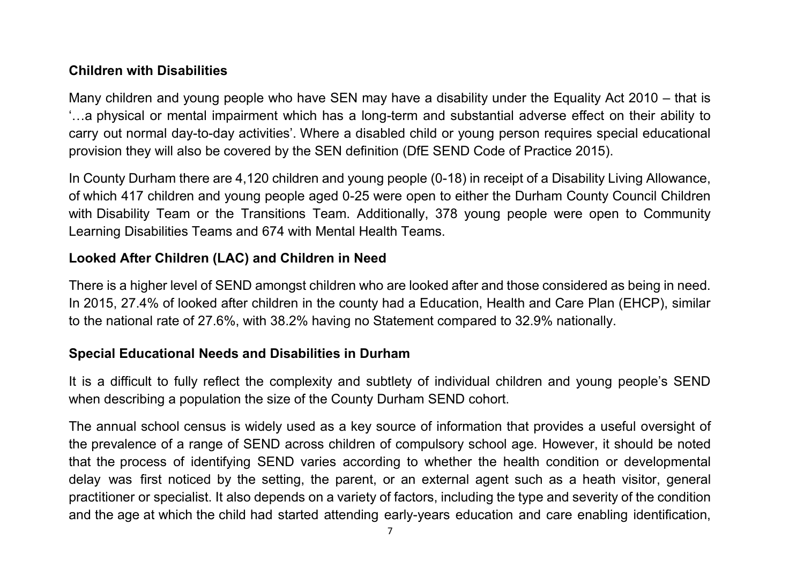#### **Children with Disabilities**

Many children and young people who have SEN may have a disability under the Equality Act 2010 – that is '…a physical or mental impairment which has a long-term and substantial adverse effect on their ability to carry out normal day-to-day activities'. Where a disabled child or young person requires special educational provision they will also be covered by the SEN definition (DfE SEND Code of Practice 2015).

In County Durham there are 4,120 children and young people (0-18) in receipt of a Disability Living Allowance, of which 417 children and young people aged 0-25 were open to either the Durham County Council Children with Disability Team or the Transitions Team. Additionally, 378 young people were open to Community Learning Disabilities Teams and 674 with Mental Health Teams.

#### **Looked After Children (LAC) and Children in Need**

There is a higher level of SEND amongst children who are looked after and those considered as being in need. In 2015, 27.4% of looked after children in the county had a Education, Health and Care Plan (EHCP), similar to the national rate of 27.6%, with 38.2% having no Statement compared to 32.9% nationally.

#### **Special Educational Needs and Disabilities in Durham**

It is a difficult to fully reflect the complexity and subtlety of individual children and young people's SEND when describing a population the size of the County Durham SEND cohort.

The annual school census is widely used as a key source of information that provides a useful oversight of the prevalence of a range of SEND across children of compulsory school age. However, it should be noted that the process of identifying SEND varies according to whether the health condition or developmental delay was first noticed by the setting, the parent, or an external agent such as a heath visitor, general practitioner or specialist. It also depends on a variety of factors, including the type and severity of the condition and the age at which the child had started attending early-years education and care enabling identification,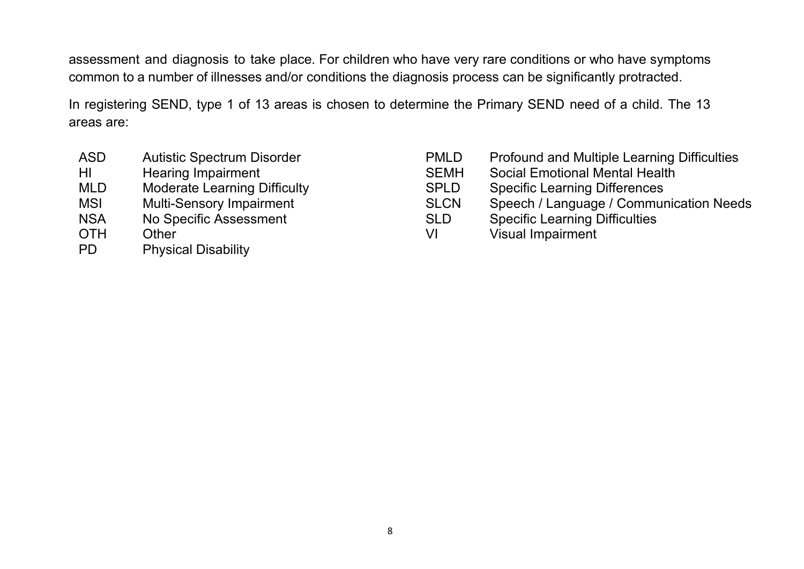assessment and diagnosis to take place. For children who have very rare conditions or who have symptoms common to a number of illnesses and/or conditions the diagnosis process can be significantly protracted.

In registering SEND, type 1 of 13 areas is chosen to determine the Primary SEND need of a child. The 13 areas are:

- ASD Autistic Spectrum Disorder
- $H1$ Hearing Impairment
- MI D Moderate Learning Difficulty
- **MSI Multi-Sensory Impairment**
- **NSA** No Specific Assessment
- **OTH** Other
- **PD Physical Disability**
- PMLD Profound and Multiple Learning Difficulties
- SEMH Social Emotional Mental Health
- SPLD Specific Learning Differences
- SLCN Speech / Language / Communication Needs
- SLD Specific Learning Difficulties
- VI Visual Impairment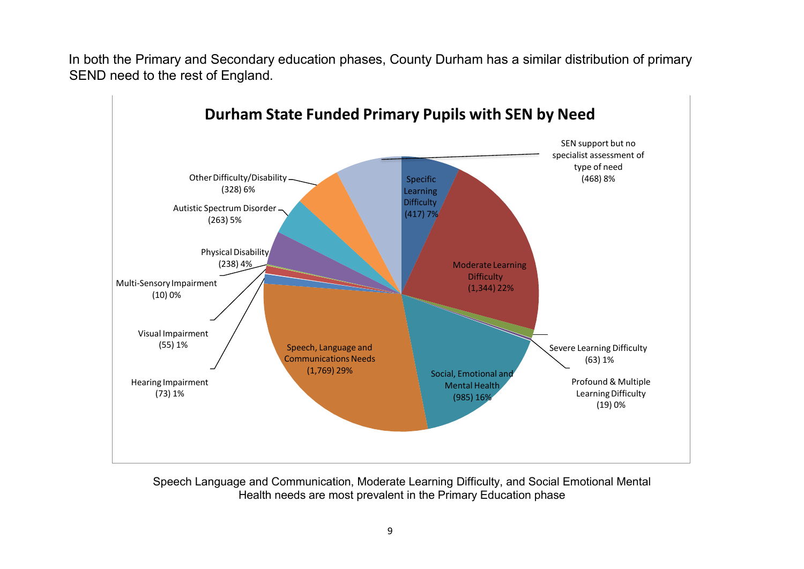In both the Primary and Secondary education phases, County Durham has a similar distribution of primary SEND need to the rest of England.



Speech Language and Communication, Moderate Learning Difficulty, and Social Emotional Mental Health needs are most prevalent in the Primary Education phase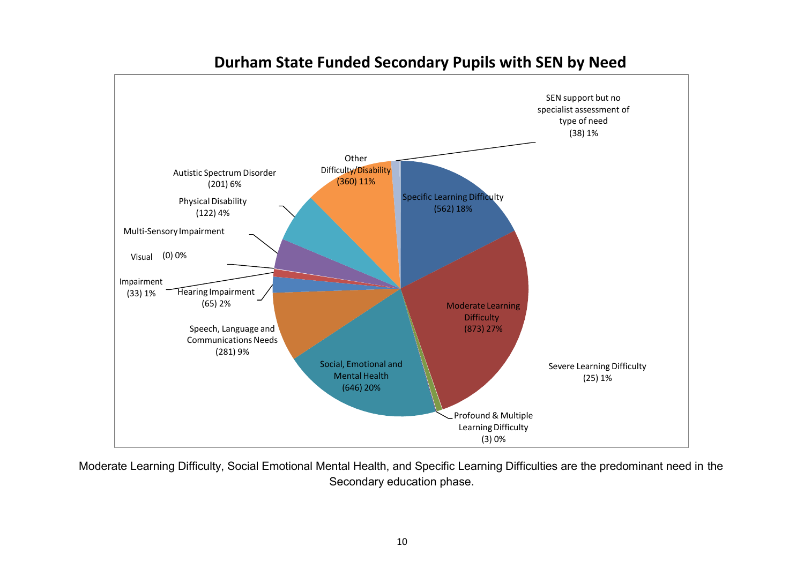

# **Durham State Funded Secondary Pupils with SEN by Need**

Moderate Learning Difficulty, Social Emotional Mental Health, and Specific Learning Difficulties are the predominant need in the Secondary education phase.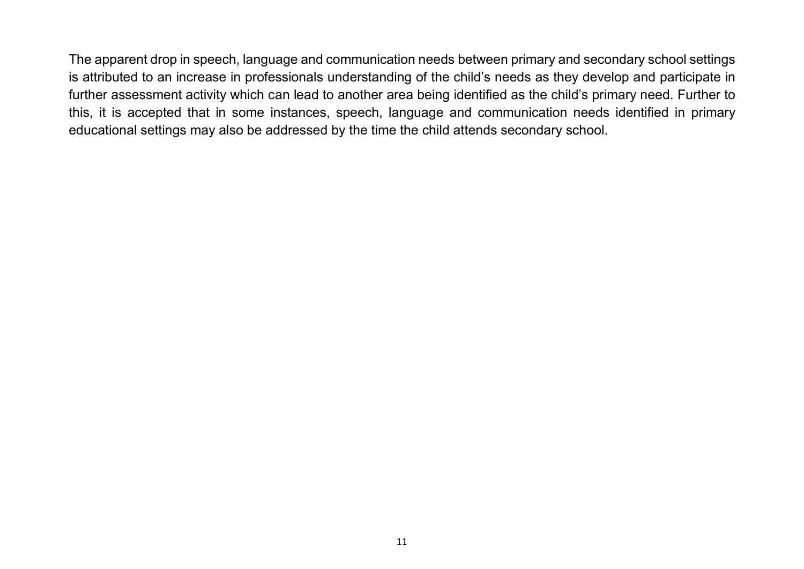The apparent drop in speech, language and communication needs between primary and secondary school settings is attributed to an increase in professionals understanding of the child's needs as they develop and participate in further assessment activity which can lead to another area being identified as the child's primary need. Further to this, it is accepted that in some instances, speech, language and communication needs identified in primary educational settings may also be addressed by the time the child attends secondary school.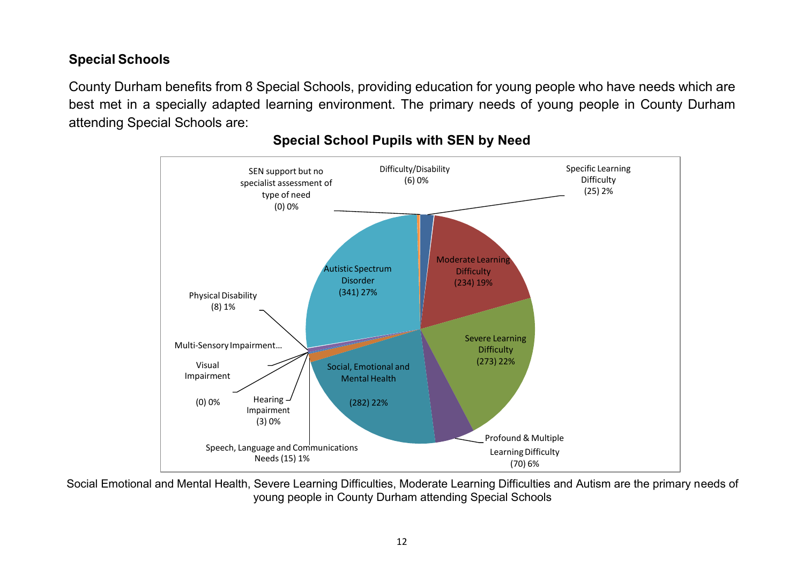## **Special Schools**

County Durham benefits from 8 Special Schools, providing education for young people who have needs which are best met in a specially adapted learning environment. The primary needs of young people in County Durham attending Special Schools are:



#### **Special School Pupils with SEN by Need**

Social Emotional and Mental Health, Severe Learning Difficulties, Moderate Learning Difficulties and Autism are the primary needs of young people in County Durham attending Special Schools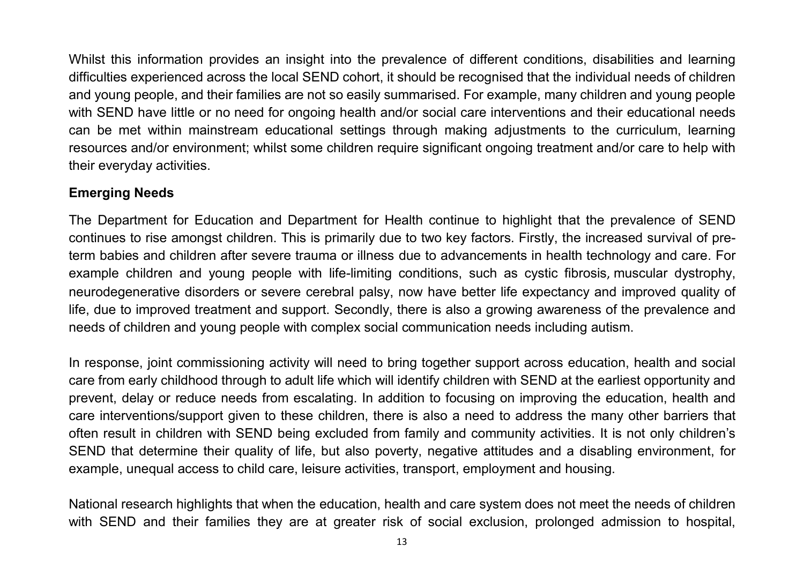Whilst this information provides an insight into the prevalence of different conditions, disabilities and learning difficulties experienced across the local SEND cohort, it should be recognised that the individual needs of children and young people, and their families are not so easily summarised. For example, many children and young people with SEND have little or no need for ongoing health and/or social care interventions and their educational needs can be met within mainstream educational settings through making adjustments to the curriculum, learning resources and/or environment; whilst some children require significant ongoing treatment and/or care to help with their everyday activities.

#### **Emerging Needs**

The Department for Education and Department for Health continue to highlight that the prevalence of SEND continues to rise amongst children. This is primarily due to two key factors. Firstly, the increased survival of preterm babies and children after severe trauma or illness due to advancements in health technology and care. For example children and young people with life-limiting conditions, such as cystic fibrosis, muscular dystrophy, neurodegenerative disorders or severe cerebral palsy, now have better life expectancy and improved quality of life, due to improved treatment and support. Secondly, there is also a growing awareness of the prevalence and needs of children and young people with complex social communication needs including autism.

In response, joint commissioning activity will need to bring together support across education, health and social care from early childhood through to adult life which will identify children with SEND at the earliest opportunity and prevent, delay or reduce needs from escalating. In addition to focusing on improving the education, health and care interventions/support given to these children, there is also a need to address the many other barriers that often result in children with SEND being excluded from family and community activities. It is not only children's SEND that determine their quality of life, but also poverty, negative attitudes and a disabling environment, for example, unequal access to child care, leisure activities, transport, employment and housing.

National research highlights that when the education, health and care system does not meet the needs of children with SEND and their families they are at greater risk of social exclusion, prolonged admission to hospital,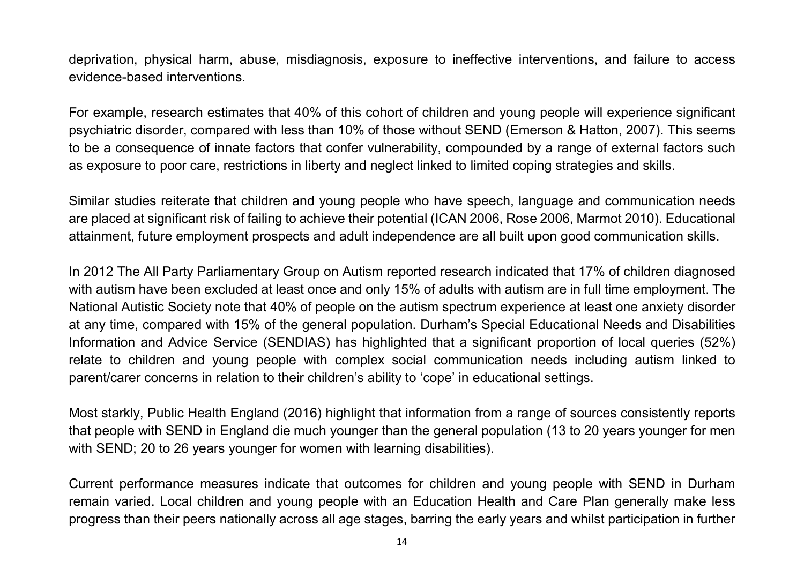deprivation, physical harm, abuse, misdiagnosis, exposure to ineffective interventions, and failure to access evidence-based interventions.

For example, research estimates that 40% of this cohort of children and young people will experience significant psychiatric disorder, compared with less than 10% of those without SEND (Emerson & Hatton, 2007). This seems to be a consequence of innate factors that confer vulnerability, compounded by a range of external factors such as exposure to poor care, restrictions in liberty and neglect linked to limited coping strategies and skills.

Similar studies reiterate that children and young people who have speech, language and communication needs are placed at significant risk of failing to achieve their potential (ICAN 2006, Rose 2006, Marmot 2010). Educational attainment, future employment prospects and adult independence are all built upon good communication skills.

In 2012 The All Party Parliamentary Group on Autism reported research indicated that 17% of children diagnosed with autism have been excluded at least once and only 15% of adults with autism are in full time employment. The National Autistic Society note that 40% of people on the autism spectrum experience at least one anxiety disorder at any time, compared with 15% of the general population. Durham's Special Educational Needs and Disabilities Information and Advice Service (SENDIAS) has highlighted that a significant proportion of local queries (52%) relate to children and young people with complex social communication needs including autism linked to parent/carer concerns in relation to their children's ability to 'cope' in educational settings.

Most starkly, Public Health England (2016) highlight that information from a range of sources consistently reports that people with SEND in England die much younger than the general population (13 to 20 years younger for men with SEND; 20 to 26 years younger for women with learning disabilities).

Current performance measures indicate that outcomes for children and young people with SEND in Durham remain varied. Local children and young people with an Education Health and Care Plan generally make less progress than their peers nationally across all age stages, barring the early years and whilst participation in further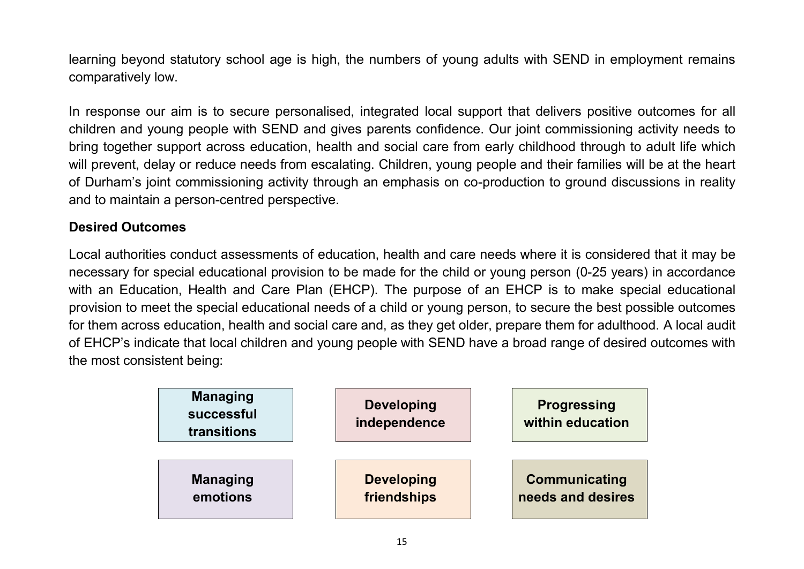learning beyond statutory school age is high, the numbers of young adults with SEND in employment remains comparatively low.

In response our aim is to secure personalised, integrated local support that delivers positive outcomes for all children and young people with SEND and gives parents confidence. Our joint commissioning activity needs to bring together support across education, health and social care from early childhood through to adult life which will prevent, delay or reduce needs from escalating. Children, young people and their families will be at the heart of Durham's joint commissioning activity through an emphasis on co-production to ground discussions in reality and to maintain a person-centred perspective.

#### **Desired Outcomes**

Local authorities conduct assessments of education, health and care needs where it is considered that it may be necessary for special educational provision to be made for the child or young person (0-25 years) in accordance with an Education, Health and Care Plan (EHCP). The purpose of an EHCP is to make special educational provision to meet the special educational needs of a child or young person, to secure the best possible outcomes for them across education, health and social care and, as they get older, prepare them for adulthood. A local audit of EHCP's indicate that local children and young people with SEND have a broad range of desired outcomes with the most consistent being:

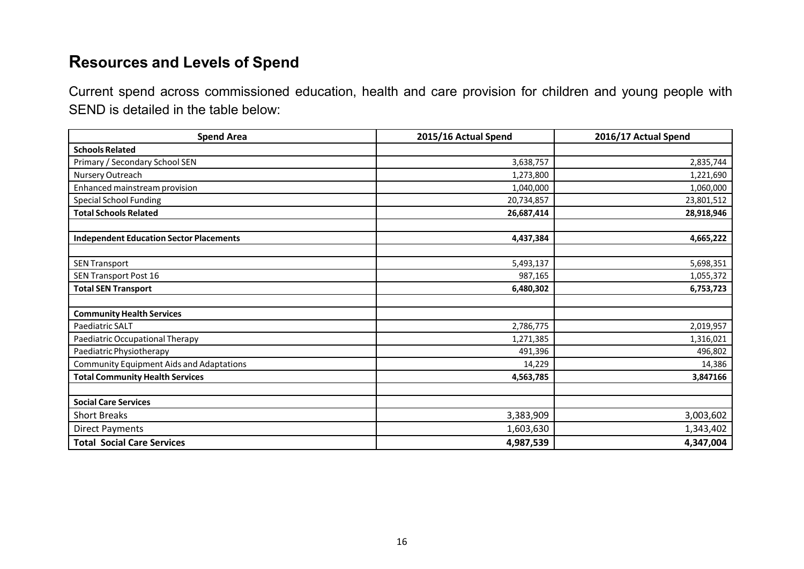# <span id="page-15-0"></span>**Resources and Levels of Spend**

Current spend across commissioned education, health and care provision for children and young people with SEND is detailed in the table below:

| <b>Spend Area</b>                               | 2015/16 Actual Spend | 2016/17 Actual Spend |
|-------------------------------------------------|----------------------|----------------------|
| <b>Schools Related</b>                          |                      |                      |
| Primary / Secondary School SEN                  | 3,638,757            | 2,835,744            |
| Nursery Outreach                                | 1,273,800            | 1,221,690            |
| Enhanced mainstream provision                   | 1,040,000            | 1,060,000            |
| <b>Special School Funding</b>                   | 20,734,857           | 23,801,512           |
| <b>Total Schools Related</b>                    | 26,687,414           | 28,918,946           |
| <b>Independent Education Sector Placements</b>  | 4,437,384            | 4,665,222            |
| <b>SEN Transport</b>                            | 5,493,137            | 5,698,351            |
| SEN Transport Post 16                           | 987,165              | 1,055,372            |
| <b>Total SEN Transport</b>                      | 6,480,302            | 6,753,723            |
| <b>Community Health Services</b>                |                      |                      |
| Paediatric SALT                                 | 2,786,775            | 2,019,957            |
| Paediatric Occupational Therapy                 | 1,271,385            | 1,316,021            |
| Paediatric Physiotherapy                        | 491,396              | 496,802              |
| <b>Community Equipment Aids and Adaptations</b> | 14,229               | 14,386               |
| <b>Total Community Health Services</b>          | 4,563,785            | 3,847166             |
| <b>Social Care Services</b>                     |                      |                      |
| <b>Short Breaks</b>                             | 3,383,909            | 3,003,602            |
| <b>Direct Payments</b>                          | 1,603,630            | 1,343,402            |
| <b>Total Social Care Services</b>               | 4,987,539            | 4,347,004            |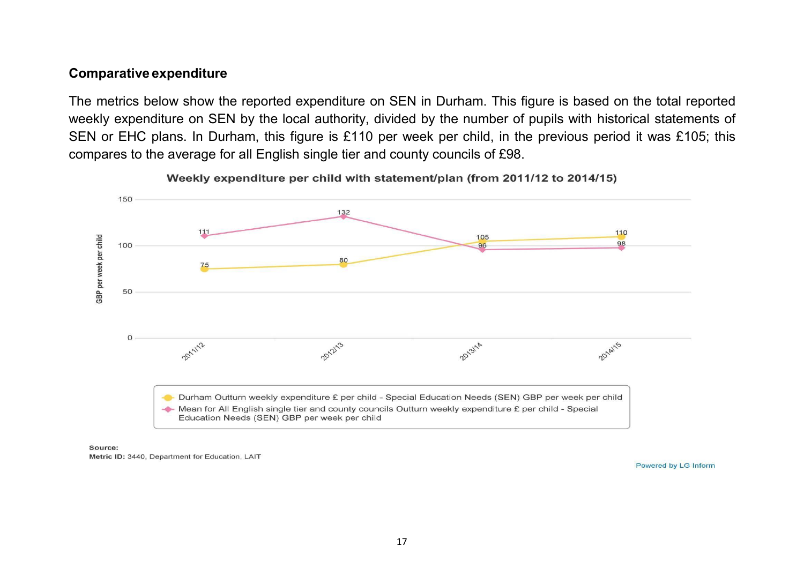#### **Comparative expenditure**

The metrics below show the reported expenditure on SEN in Durham. This figure is based on the total reported weekly expenditure on SEN by the local authority, divided by the number of pupils with historical statements of SEN or EHC plans. In Durham, this figure is £110 per week per child, in the previous period it was £105; this compares to the average for all English single tier and county councils of £98.



Weekly expenditure per child with statement/plan (from 2011/12 to 2014/15)

Source:

Metric ID: 3440, Department for Education, LAIT

Powered by LG Inform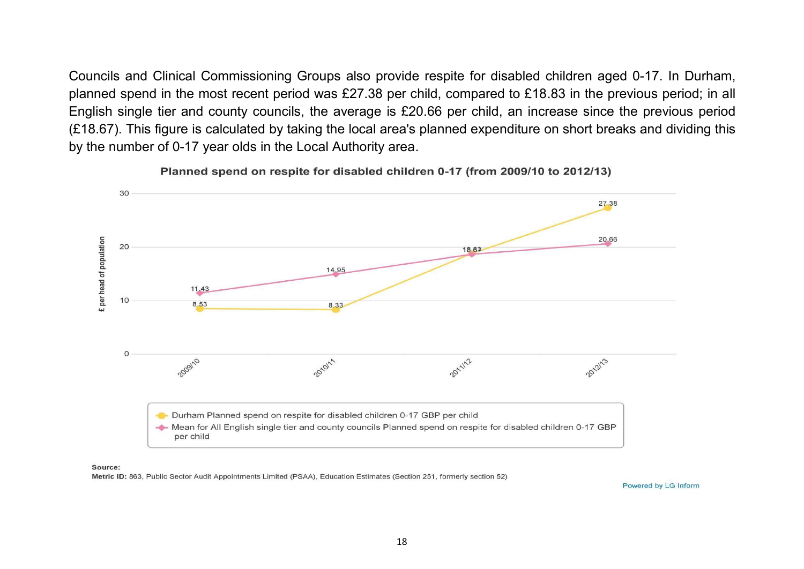Councils and Clinical Commissioning Groups also provide respite for disabled children aged 0-17. In Durham, planned spend in the most recent period was £27.38 per child, compared to £18.83 in the previous period; in all English single tier and county councils, the average is £20.66 per child, an increase since the previous period (£18.67). This figure is calculated by taking the local area's planned expenditure on short breaks and dividing this by the number of 0-17 year olds in the Local Authority area.



Planned spend on respite for disabled children 0-17 (from 2009/10 to 2012/13)

#### Source:

Metric ID: 863, Public Sector Audit Appointments Limited (PSAA), Education Estimates (Section 251, formerly section 52)

Powered by LG Inform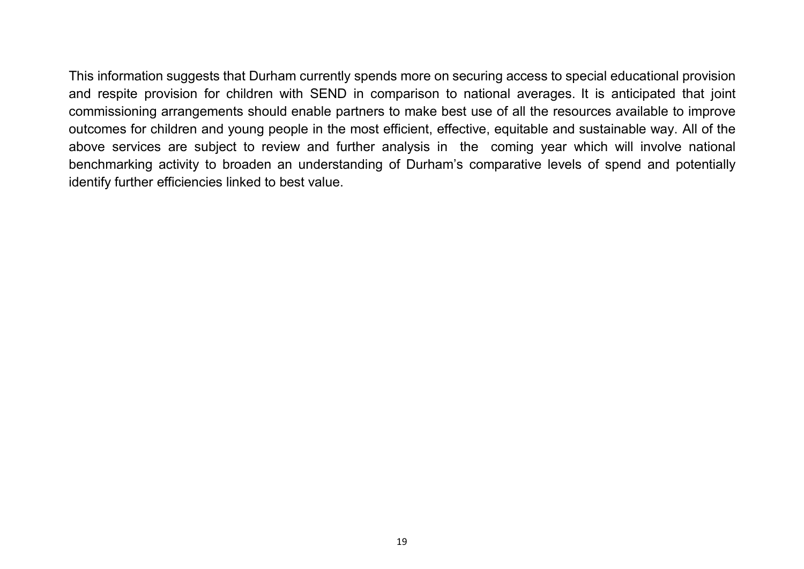This information suggests that Durham currently spends more on securing access to special educational provision and respite provision for children with SEND in comparison to national averages. It is anticipated that joint commissioning arrangements should enable partners to make best use of all the resources available to improve outcomes for children and young people in the most efficient, effective, equitable and sustainable way. All of the above services are subject to review and further analysis in the coming year which will involve national benchmarking activity to broaden an understanding of Durham's comparative levels of spend and potentially identify further efficiencies linked to best value.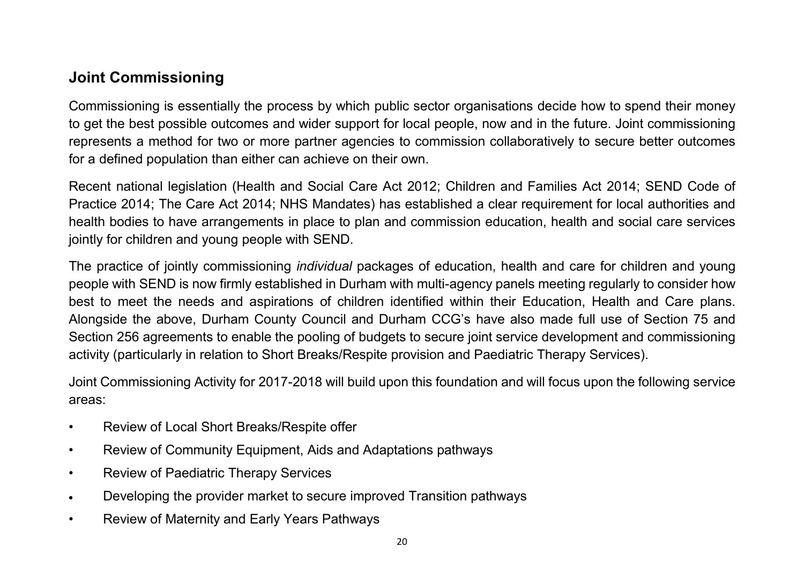# <span id="page-19-0"></span>**Joint Commissioning**

Commissioning is essentially the process by which public sector organisations decide how to spend their money to get the best possible outcomes and wider support for local people, now and in the future. Joint commissioning represents a method for two or more partner agencies to commission collaboratively to secure better outcomes for a defined population than either can achieve on their own.

Recent national legislation (Health and Social Care Act 2012; Children and Families Act 2014; SEND Code of Practice 2014; The Care Act 2014; NHS Mandates) has established a clear requirement for local authorities and health bodies to have arrangements in place to plan and commission education, health and social care services jointly for children and young people with SEND.

The practice of jointly commissioning *individual* packages of education, health and care for children and young people with SEND is now firmly established in Durham with multi-agency panels meeting regularly to consider how best to meet the needs and aspirations of children identified within their Education, Health and Care plans. Alongside the above, Durham County Council and Durham CCG's have also made full use of Section 75 and Section 256 agreements to enable the pooling of budgets to secure joint service development and commissioning activity (particularly in relation to Short Breaks/Respite provision and Paediatric Therapy Services).

Joint Commissioning Activity for 2017-2018 will build upon this foundation and will focus upon the following service areas:

- Review of Local Short Breaks/Respite offer
- Review of Community Equipment, Aids and Adaptations pathways
- Review of Paediatric Therapy Services
- Developing the provider market to secure improved Transition pathways
- Review of Maternity and Early Years Pathways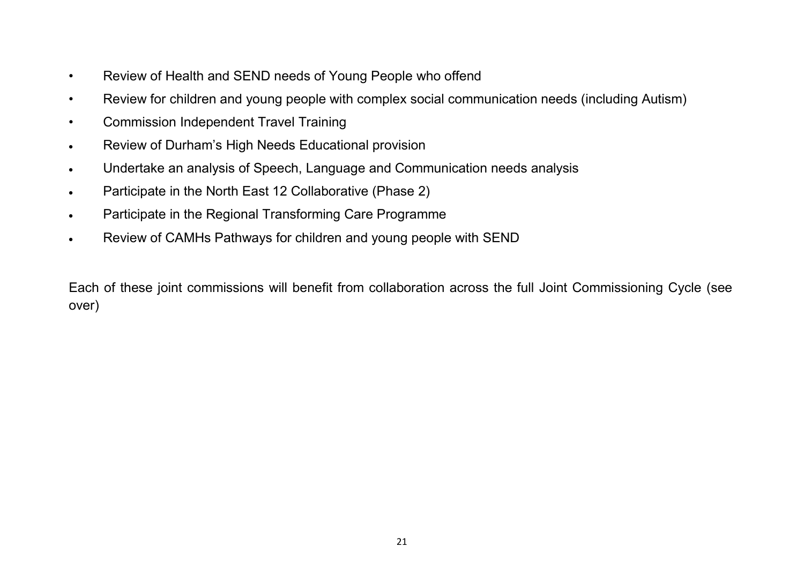- Review of Health and SEND needs of Young People who offend
- Review for children and young people with complex social communication needs (including Autism)
- Commission Independent Travel Training
- Review of Durham's High Needs Educational provision
- Undertake an analysis of Speech, Language and Communication needs analysis
- Participate in the North East 12 Collaborative (Phase 2)
- Participate in the Regional Transforming Care Programme
- Review of CAMHs Pathways for children and young people with SEND

Each of these joint commissions will benefit from collaboration across the full Joint Commissioning Cycle (see over)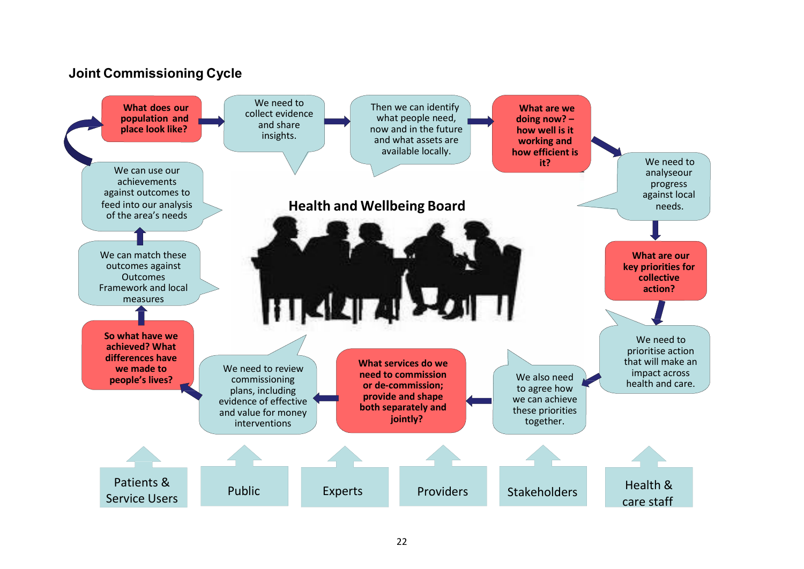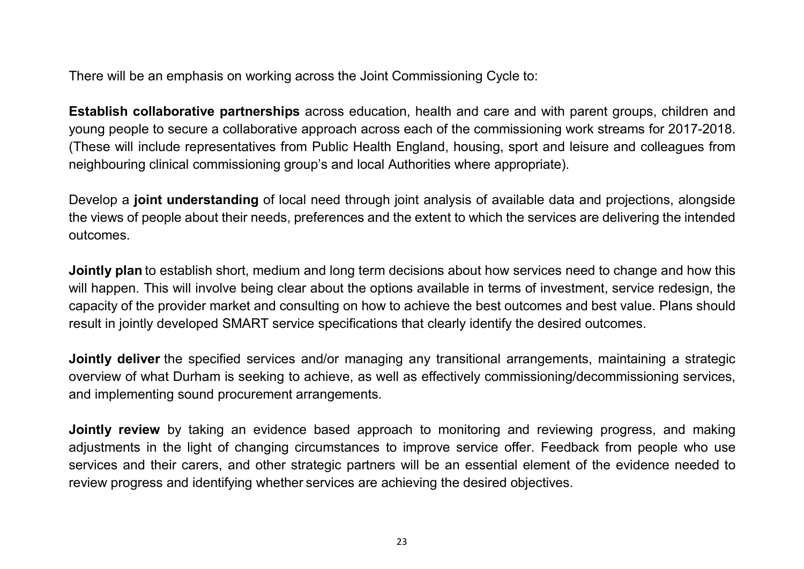There will be an emphasis on working across the Joint Commissioning Cycle to:

**Establish collaborative partnerships** across education, health and care and with parent groups, children and young people to secure a collaborative approach across each of the commissioning work streams for 2017-2018. (These will include representatives from Public Health England, housing, sport and leisure and colleagues from neighbouring clinical commissioning group's and local Authorities where appropriate).

Develop a **joint understanding** of local need through joint analysis of available data and projections, alongside the views of people about their needs, preferences and the extent to which the services are delivering the intended outcomes.

**Jointly plan** to establish short, medium and long term decisions about how services need to change and how this will happen. This will involve being clear about the options available in terms of investment, service redesign, the capacity of the provider market and consulting on how to achieve the best outcomes and best value. Plans should result in jointly developed SMART service specifications that clearly identify the desired outcomes.

**Jointly deliver** the specified services and/or managing any transitional arrangements, maintaining a strategic overview of what Durham is seeking to achieve, as well as effectively commissioning/decommissioning services, and implementing sound procurement arrangements.

**Jointly review** by taking an evidence based approach to monitoring and reviewing progress, and making adjustments in the light of changing circumstances to improve service offer. Feedback from people who use services and their carers, and other strategic partners will be an essential element of the evidence needed to review progress and identifying whether services are achieving the desired objectives.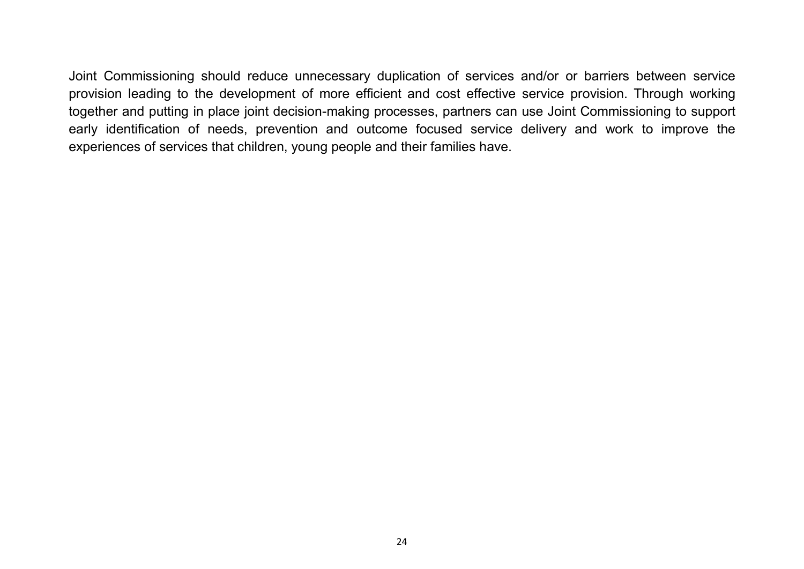Joint Commissioning should reduce unnecessary duplication of services and/or or barriers between service provision leading to the development of more efficient and cost effective service provision. Through working together and putting in place joint decision-making processes, partners can use Joint Commissioning to support early identification of needs, prevention and outcome focused service delivery and work to improve the experiences of services that children, young people and their families have.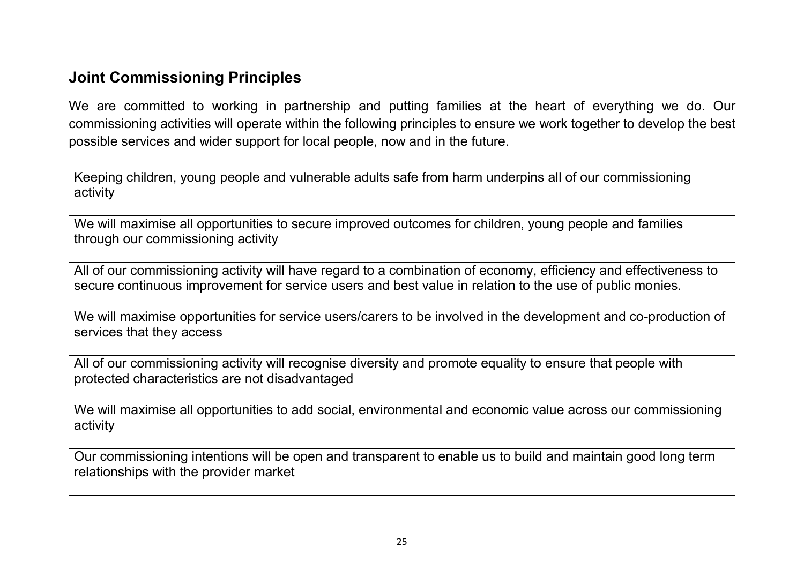# <span id="page-24-0"></span>**Joint Commissioning Principles**

We are committed to working in partnership and putting families at the heart of everything we do. Our commissioning activities will operate within the following principles to ensure we work together to develop the best possible services and wider support for local people, now and in the future.

Keeping children, young people and vulnerable adults safe from harm underpins all of our commissioning activity

We will maximise all opportunities to secure improved outcomes for children, young people and families through our commissioning activity

All of our commissioning activity will have regard to a combination of economy, efficiency and effectiveness to secure continuous improvement for service users and best value in relation to the use of public monies.

We will maximise opportunities for service users/carers to be involved in the development and co-production of services that they access

All of our commissioning activity will recognise diversity and promote equality to ensure that people with protected characteristics are not disadvantaged

We will maximise all opportunities to add social, environmental and economic value across our commissioning activity

Our commissioning intentions will be open and transparent to enable us to build and maintain good long term relationships with the provider market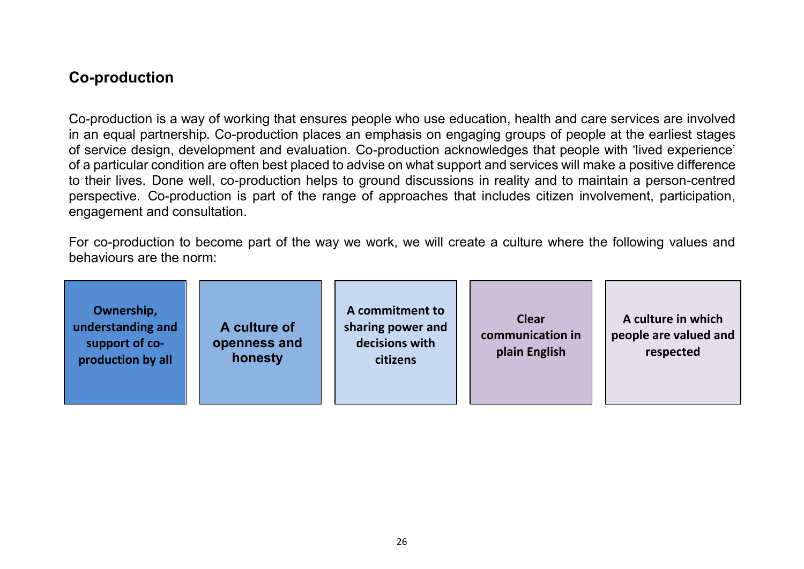# <span id="page-25-0"></span>**Co-production**

Co-production is a way of working that ensures people who use education, health and care services are involved in an equal partnership. Co-production places an emphasis on engaging groups of people at the earliest stages of service design, development and evaluation. Co-production acknowledges that people with 'lived experience' of a particular condition are often best placed to advise on what support and services will make a positive difference to their lives. Done well, co-production helps to ground discussions in reality and to maintain a person-centred perspective. Co-production is part of the range of approaches that includes citizen involvement, participation, engagement and consultation.

For co-production to become part of the way we work, we will create a culture where the following values and behaviours are the norm:

| Ownership,<br>understanding and<br>support of co-<br>production by all | A culture of<br>openness and<br>honesty | A commitment to<br>sharing power and<br>decisions with<br>citizens | <b>Clear</b><br>communication in<br>plain English | A culture in which<br>people are valued and<br>respected |
|------------------------------------------------------------------------|-----------------------------------------|--------------------------------------------------------------------|---------------------------------------------------|----------------------------------------------------------|
|------------------------------------------------------------------------|-----------------------------------------|--------------------------------------------------------------------|---------------------------------------------------|----------------------------------------------------------|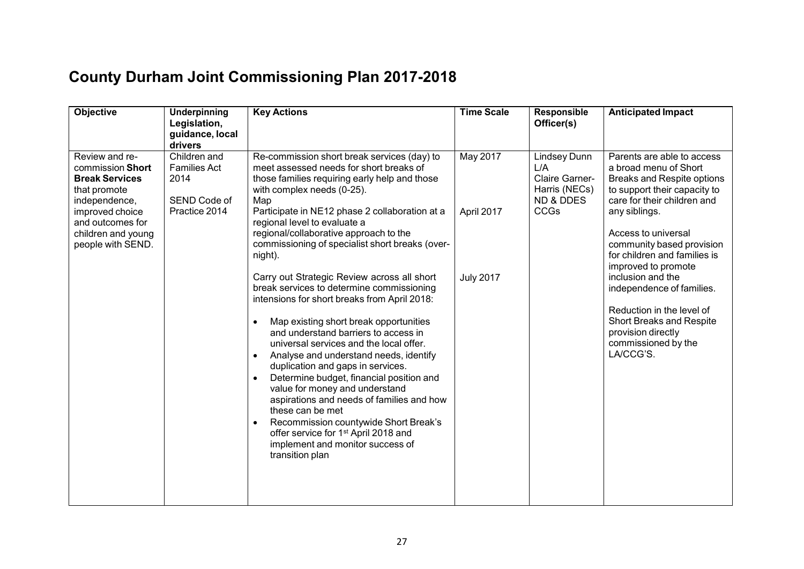<span id="page-26-0"></span>

| <b>County Durham Joint Commissioning Plan 2017-2018</b> |  |  |  |
|---------------------------------------------------------|--|--|--|
|---------------------------------------------------------|--|--|--|

| <b>Objective</b>                                                                                                                                                               | <b>Underpinning</b><br>Legislation,<br>guidance, local<br>drivers            | <b>Key Actions</b>                                                                                                                                                                                                                                                                                                                                                                                                                                                                                                                                                                                                                                                                                                                                                                                                                                                                                                                                                                                                                                                       | <b>Time Scale</b>                                 | Responsible<br>Officer(s)                                                                     | <b>Anticipated Impact</b>                                                                                                                                                                                                                                                                                                                                                                                                                                |
|--------------------------------------------------------------------------------------------------------------------------------------------------------------------------------|------------------------------------------------------------------------------|--------------------------------------------------------------------------------------------------------------------------------------------------------------------------------------------------------------------------------------------------------------------------------------------------------------------------------------------------------------------------------------------------------------------------------------------------------------------------------------------------------------------------------------------------------------------------------------------------------------------------------------------------------------------------------------------------------------------------------------------------------------------------------------------------------------------------------------------------------------------------------------------------------------------------------------------------------------------------------------------------------------------------------------------------------------------------|---------------------------------------------------|-----------------------------------------------------------------------------------------------|----------------------------------------------------------------------------------------------------------------------------------------------------------------------------------------------------------------------------------------------------------------------------------------------------------------------------------------------------------------------------------------------------------------------------------------------------------|
| Review and re-<br>commission Short<br><b>Break Services</b><br>that promote<br>independence,<br>improved choice<br>and outcomes for<br>children and young<br>people with SEND. | Children and<br><b>Families Act</b><br>2014<br>SEND Code of<br>Practice 2014 | Re-commission short break services (day) to<br>meet assessed needs for short breaks of<br>those families requiring early help and those<br>with complex needs (0-25).<br>Map<br>Participate in NE12 phase 2 collaboration at a<br>regional level to evaluate a<br>regional/collaborative approach to the<br>commissioning of specialist short breaks (over-<br>night).<br>Carry out Strategic Review across all short<br>break services to determine commissioning<br>intensions for short breaks from April 2018:<br>Map existing short break opportunities<br>$\bullet$<br>and understand barriers to access in<br>universal services and the local offer.<br>Analyse and understand needs, identify<br>$\bullet$<br>duplication and gaps in services.<br>Determine budget, financial position and<br>value for money and understand<br>aspirations and needs of families and how<br>these can be met<br>Recommission countywide Short Break's<br>$\bullet$<br>offer service for 1 <sup>st</sup> April 2018 and<br>implement and monitor success of<br>transition plan | <b>May 2017</b><br>April 2017<br><b>July 2017</b> | Lindsey Dunn<br>L/A<br>Claire Garner-<br>Harris (NECs)<br><b>ND &amp; DDES</b><br><b>CCGs</b> | Parents are able to access<br>a broad menu of Short<br><b>Breaks and Respite options</b><br>to support their capacity to<br>care for their children and<br>any siblings.<br>Access to universal<br>community based provision<br>for children and families is<br>improved to promote<br>inclusion and the<br>independence of families.<br>Reduction in the level of<br>Short Breaks and Respite<br>provision directly<br>commissioned by the<br>LA/CCG'S. |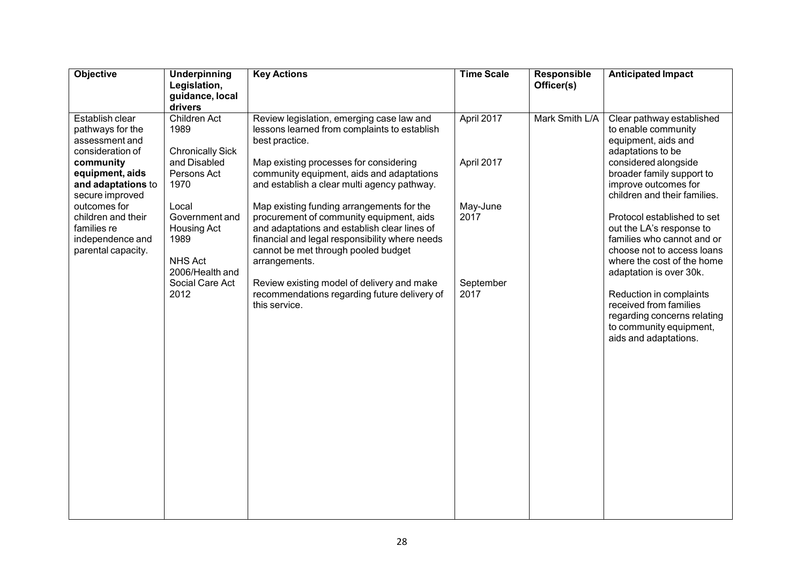| Objective                                                                                                                                                                                                                                         | Underpinning<br>Legislation,<br>guidance, local<br>drivers                                                                                                                                               | <b>Key Actions</b>                                                                                                                                                                                                                                                                                                                                                                                                                                                                                                                                                                                                  | <b>Time Scale</b>                                                 | Responsible<br>Officer(s) | <b>Anticipated Impact</b>                                                                                                                                                                                                                                                                                                                                                                                                                                                                                                         |
|---------------------------------------------------------------------------------------------------------------------------------------------------------------------------------------------------------------------------------------------------|----------------------------------------------------------------------------------------------------------------------------------------------------------------------------------------------------------|---------------------------------------------------------------------------------------------------------------------------------------------------------------------------------------------------------------------------------------------------------------------------------------------------------------------------------------------------------------------------------------------------------------------------------------------------------------------------------------------------------------------------------------------------------------------------------------------------------------------|-------------------------------------------------------------------|---------------------------|-----------------------------------------------------------------------------------------------------------------------------------------------------------------------------------------------------------------------------------------------------------------------------------------------------------------------------------------------------------------------------------------------------------------------------------------------------------------------------------------------------------------------------------|
| Establish clear<br>pathways for the<br>assessment and<br>consideration of<br>community<br>equipment, aids<br>and adaptations to<br>secure improved<br>outcomes for<br>children and their<br>families re<br>independence and<br>parental capacity. | Children Act<br>1989<br><b>Chronically Sick</b><br>and Disabled<br>Persons Act<br>1970<br>Local<br>Government and<br>Housing Act<br>1989<br><b>NHS Act</b><br>2006/Health and<br>Social Care Act<br>2012 | Review legislation, emerging case law and<br>lessons learned from complaints to establish<br>best practice.<br>Map existing processes for considering<br>community equipment, aids and adaptations<br>and establish a clear multi agency pathway.<br>Map existing funding arrangements for the<br>procurement of community equipment, aids<br>and adaptations and establish clear lines of<br>financial and legal responsibility where needs<br>cannot be met through pooled budget<br>arrangements.<br>Review existing model of delivery and make<br>recommendations regarding future delivery of<br>this service. | April 2017<br>April 2017<br>May-June<br>2017<br>September<br>2017 | Mark Smith L/A            | Clear pathway established<br>to enable community<br>equipment, aids and<br>adaptations to be<br>considered alongside<br>broader family support to<br>improve outcomes for<br>children and their families.<br>Protocol established to set<br>out the LA's response to<br>families who cannot and or<br>choose not to access loans<br>where the cost of the home<br>adaptation is over 30k.<br>Reduction in complaints<br>received from families<br>regarding concerns relating<br>to community equipment,<br>aids and adaptations. |
|                                                                                                                                                                                                                                                   |                                                                                                                                                                                                          |                                                                                                                                                                                                                                                                                                                                                                                                                                                                                                                                                                                                                     |                                                                   |                           |                                                                                                                                                                                                                                                                                                                                                                                                                                                                                                                                   |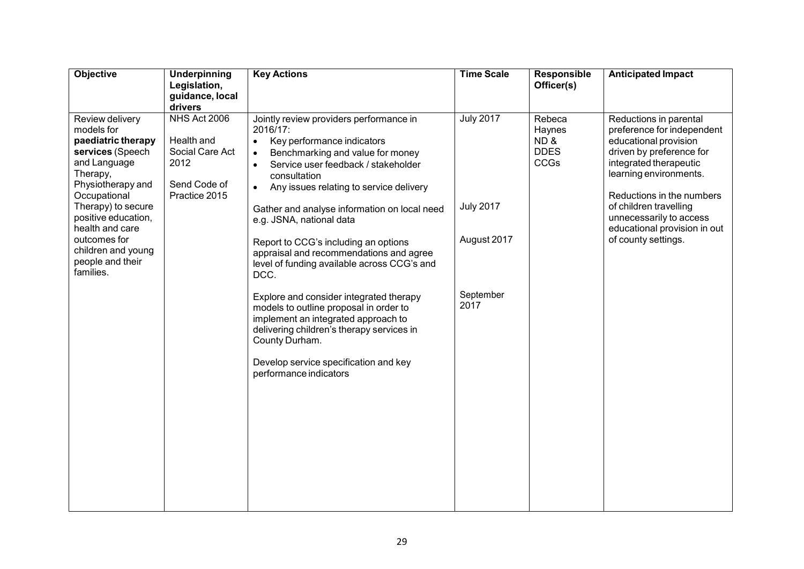| Objective                                                                                                                                                                                                                                                                       | <b>Underpinning</b><br>Legislation,<br>guidance, local<br>drivers                      | <b>Key Actions</b>                                                                                                                                                                                                                                                                                                                                                                                                                                                                                                                                                                                                                                                                           | <b>Time Scale</b>                                                        | Responsible<br>Officer(s)                      | <b>Anticipated Impact</b>                                                                                                                                                                                                                                                                              |
|---------------------------------------------------------------------------------------------------------------------------------------------------------------------------------------------------------------------------------------------------------------------------------|----------------------------------------------------------------------------------------|----------------------------------------------------------------------------------------------------------------------------------------------------------------------------------------------------------------------------------------------------------------------------------------------------------------------------------------------------------------------------------------------------------------------------------------------------------------------------------------------------------------------------------------------------------------------------------------------------------------------------------------------------------------------------------------------|--------------------------------------------------------------------------|------------------------------------------------|--------------------------------------------------------------------------------------------------------------------------------------------------------------------------------------------------------------------------------------------------------------------------------------------------------|
| Review delivery<br>models for<br>paediatric therapy<br>services (Speech<br>and Language<br>Therapy,<br>Physiotherapy and<br>Occupational<br>Therapy) to secure<br>positive education,<br>health and care<br>outcomes for<br>children and young<br>people and their<br>families. | NHS Act 2006<br>Health and<br>Social Care Act<br>2012<br>Send Code of<br>Practice 2015 | Jointly review providers performance in<br>2016/17:<br>Key performance indicators<br>$\bullet$<br>Benchmarking and value for money<br>$\bullet$<br>Service user feedback / stakeholder<br>$\bullet$<br>consultation<br>Any issues relating to service delivery<br>$\bullet$<br>Gather and analyse information on local need<br>e.g. JSNA, national data<br>Report to CCG's including an options<br>appraisal and recommendations and agree<br>level of funding available across CCG's and<br>DCC.<br>Explore and consider integrated therapy<br>models to outline proposal in order to<br>implement an integrated approach to<br>delivering children's therapy services in<br>County Durham. | <b>July 2017</b><br><b>July 2017</b><br>August 2017<br>September<br>2017 | Rebeca<br>Haynes<br>ND&<br><b>DDES</b><br>CCGs | Reductions in parental<br>preference for independent<br>educational provision<br>driven by preference for<br>integrated therapeutic<br>learning environments.<br>Reductions in the numbers<br>of children travelling<br>unnecessarily to access<br>educational provision in out<br>of county settings. |
|                                                                                                                                                                                                                                                                                 |                                                                                        | Develop service specification and key<br>performance indicators                                                                                                                                                                                                                                                                                                                                                                                                                                                                                                                                                                                                                              |                                                                          |                                                |                                                                                                                                                                                                                                                                                                        |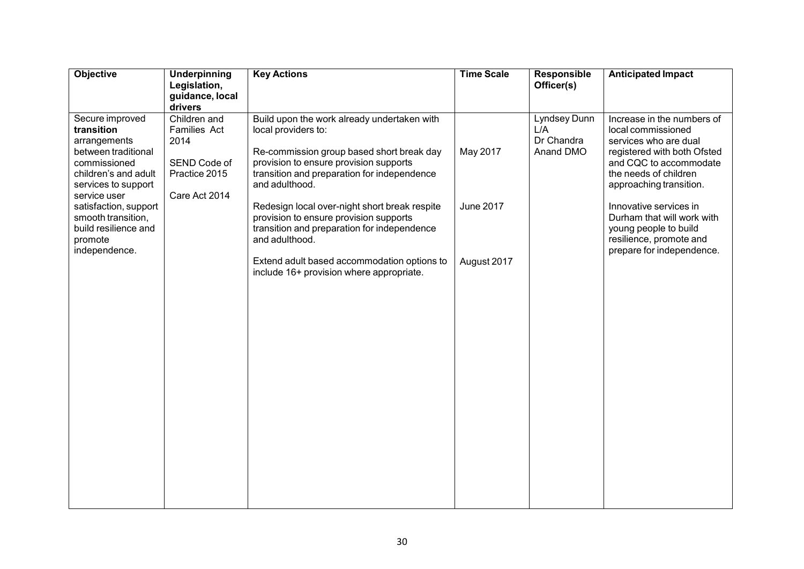| Objective                                                                                                                                           | Underpinning<br>Legislation,<br>guidance, local<br>drivers                                    | <b>Key Actions</b>                                                                                                                                                                                                         | <b>Time Scale</b> | Responsible<br>Officer(s)                      | <b>Anticipated Impact</b>                                                                                                                                                              |
|-----------------------------------------------------------------------------------------------------------------------------------------------------|-----------------------------------------------------------------------------------------------|----------------------------------------------------------------------------------------------------------------------------------------------------------------------------------------------------------------------------|-------------------|------------------------------------------------|----------------------------------------------------------------------------------------------------------------------------------------------------------------------------------------|
| Secure improved<br>transition<br>arrangements<br>between traditional<br>commissioned<br>children's and adult<br>services to support<br>service user | Children and<br><b>Families Act</b><br>2014<br>SEND Code of<br>Practice 2015<br>Care Act 2014 | Build upon the work already undertaken with<br>local providers to:<br>Re-commission group based short break day<br>provision to ensure provision supports<br>transition and preparation for independence<br>and adulthood. | May 2017          | Lyndsey Dunn<br>L/A<br>Dr Chandra<br>Anand DMO | Increase in the numbers of<br>local commissioned<br>services who are dual<br>registered with both Ofsted<br>and CQC to accommodate<br>the needs of children<br>approaching transition. |
| satisfaction, support<br>smooth transition,<br>build resilience and<br>promote<br>independence.                                                     |                                                                                               | Redesign local over-night short break respite<br>provision to ensure provision supports<br>transition and preparation for independence<br>and adulthood.                                                                   | <b>June 2017</b>  |                                                | Innovative services in<br>Durham that will work with<br>young people to build<br>resilience, promote and<br>prepare for independence.                                                  |
|                                                                                                                                                     |                                                                                               | Extend adult based accommodation options to<br>include 16+ provision where appropriate.                                                                                                                                    | August 2017       |                                                |                                                                                                                                                                                        |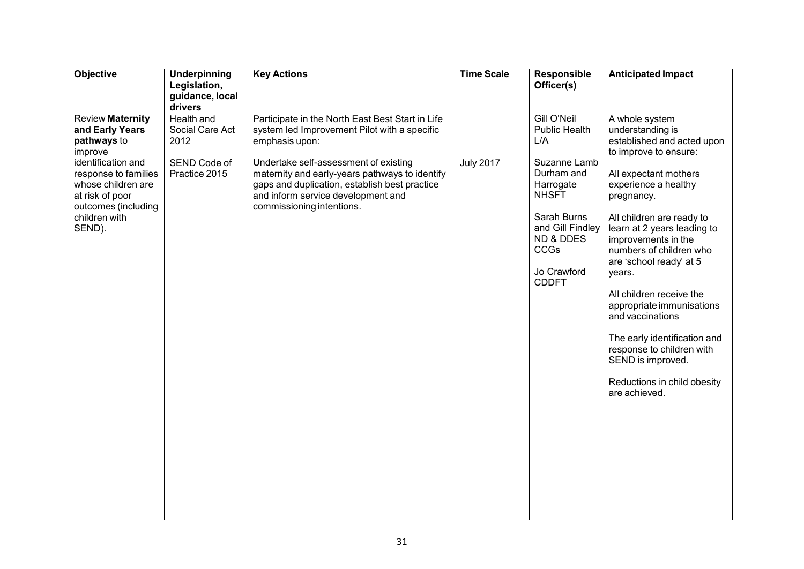| Objective                                                                                                                                                                                                     | Underpinning<br>Legislation,<br>guidance, local<br>drivers             | <b>Key Actions</b>                                                                                                                                                                                                                                                                                                                | <b>Time Scale</b> | Responsible<br>Officer(s)                                                                                                                                                                               | <b>Anticipated Impact</b>                                                                                                                                                                                                                                                                                                                                                                                                                                                                                                  |
|---------------------------------------------------------------------------------------------------------------------------------------------------------------------------------------------------------------|------------------------------------------------------------------------|-----------------------------------------------------------------------------------------------------------------------------------------------------------------------------------------------------------------------------------------------------------------------------------------------------------------------------------|-------------------|---------------------------------------------------------------------------------------------------------------------------------------------------------------------------------------------------------|----------------------------------------------------------------------------------------------------------------------------------------------------------------------------------------------------------------------------------------------------------------------------------------------------------------------------------------------------------------------------------------------------------------------------------------------------------------------------------------------------------------------------|
| <b>Review Maternity</b><br>and Early Years<br>pathways to<br>improve<br>identification and<br>response to families<br>whose children are<br>at risk of poor<br>outcomes (including<br>children with<br>SEND). | Health and<br>Social Care Act<br>2012<br>SEND Code of<br>Practice 2015 | Participate in the North East Best Start in Life<br>system led Improvement Pilot with a specific<br>emphasis upon:<br>Undertake self-assessment of existing<br>maternity and early-years pathways to identify<br>gaps and duplication, establish best practice<br>and inform service development and<br>commissioning intentions. | <b>July 2017</b>  | Gill O'Neil<br><b>Public Health</b><br>L/A<br>Suzanne Lamb<br>Durham and<br>Harrogate<br><b>NHSFT</b><br>Sarah Burns<br>and Gill Findley<br><b>ND &amp; DDES</b><br>CCGs<br>Jo Crawford<br><b>CDDFT</b> | A whole system<br>understanding is<br>established and acted upon<br>to improve to ensure:<br>All expectant mothers<br>experience a healthy<br>pregnancy.<br>All children are ready to<br>learn at 2 years leading to<br>improvements in the<br>numbers of children who<br>are 'school ready' at 5<br>years.<br>All children receive the<br>appropriate immunisations<br>and vaccinations<br>The early identification and<br>response to children with<br>SEND is improved.<br>Reductions in child obesity<br>are achieved. |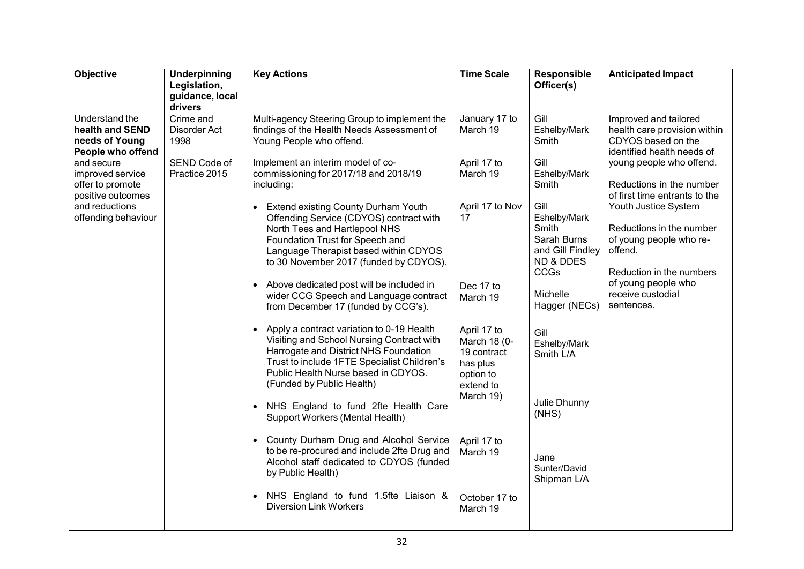| Objective                                                                                                      | Underpinning<br>Legislation,<br>guidance, local | <b>Key Actions</b>                                                                                                                                                                                                                                              | <b>Time Scale</b>                                                                             | Responsible<br>Officer(s)                                                                | <b>Anticipated Impact</b>                                                                                                                   |
|----------------------------------------------------------------------------------------------------------------|-------------------------------------------------|-----------------------------------------------------------------------------------------------------------------------------------------------------------------------------------------------------------------------------------------------------------------|-----------------------------------------------------------------------------------------------|------------------------------------------------------------------------------------------|---------------------------------------------------------------------------------------------------------------------------------------------|
| Understand the<br>health and SEND<br>needs of Young                                                            | drivers<br>Crime and<br>Disorder Act<br>1998    | Multi-agency Steering Group to implement the<br>findings of the Health Needs Assessment of<br>Young People who offend.                                                                                                                                          | January 17 to<br>March 19                                                                     | Gill<br>Eshelby/Mark<br>Smith                                                            | Improved and tailored<br>health care provision within<br>CDYOS based on the                                                                 |
| People who offend<br>and secure<br>improved service<br>offer to promote<br>positive outcomes<br>and reductions | SEND Code of<br>Practice 2015                   | Implement an interim model of co-<br>commissioning for 2017/18 and 2018/19<br>including:<br><b>Extend existing County Durham Youth</b>                                                                                                                          | April 17 to<br>March 19<br>April 17 to Nov                                                    | Gill<br>Eshelby/Mark<br>Smith<br>Gill                                                    | identified health needs of<br>young people who offend.<br>Reductions in the number<br>of first time entrants to the<br>Youth Justice System |
| offending behaviour                                                                                            |                                                 | Offending Service (CDYOS) contract with<br>North Tees and Hartlepool NHS<br>Foundation Trust for Speech and<br>Language Therapist based within CDYOS<br>to 30 November 2017 (funded by CDYOS).                                                                  | 17                                                                                            | Eshelby/Mark<br>Smith<br>Sarah Burns<br>and Gill Findley<br><b>ND &amp; DDES</b><br>CCGs | Reductions in the number<br>of young people who re-<br>offend.<br>Reduction in the numbers                                                  |
|                                                                                                                |                                                 | Above dedicated post will be included in<br>$\bullet$<br>wider CCG Speech and Language contract<br>from December 17 (funded by CCG's).                                                                                                                          | Dec 17 to<br>March 19                                                                         | Michelle<br>Hagger (NECs)                                                                | of young people who<br>receive custodial<br>sentences.                                                                                      |
|                                                                                                                |                                                 | Apply a contract variation to 0-19 Health<br>$\bullet$<br>Visiting and School Nursing Contract with<br>Harrogate and District NHS Foundation<br>Trust to include 1FTE Specialist Children's<br>Public Health Nurse based in CDYOS.<br>(Funded by Public Health) | April 17 to<br>March 18 (0-<br>19 contract<br>has plus<br>option to<br>extend to<br>March 19) | Gill<br>Eshelby/Mark<br>Smith L/A                                                        |                                                                                                                                             |
|                                                                                                                |                                                 | NHS England to fund 2fte Health Care<br>Support Workers (Mental Health)                                                                                                                                                                                         |                                                                                               | Julie Dhunny<br>(MHS)                                                                    |                                                                                                                                             |
|                                                                                                                |                                                 | • County Durham Drug and Alcohol Service<br>to be re-procured and include 2fte Drug and<br>Alcohol staff dedicated to CDYOS (funded<br>by Public Health)                                                                                                        | April 17 to<br>March 19                                                                       | Jane<br>Sunter/David<br>Shipman L/A                                                      |                                                                                                                                             |
|                                                                                                                |                                                 | NHS England to fund 1.5fte Liaison &<br><b>Diversion Link Workers</b>                                                                                                                                                                                           | October 17 to<br>March 19                                                                     |                                                                                          |                                                                                                                                             |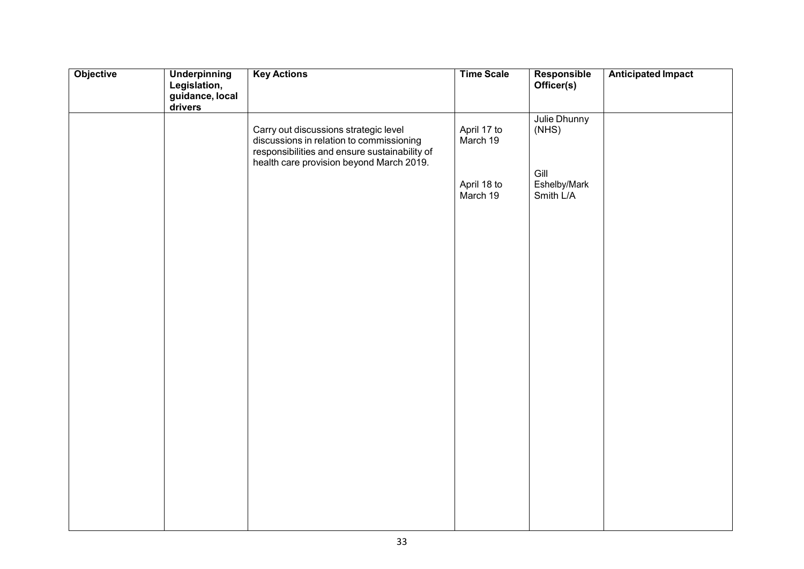| Objective | <b>Underpinning</b>             | <b>Key Actions</b>                                                                                                                                                             | <b>Time Scale</b>       | Responsible                       | <b>Anticipated Impact</b> |
|-----------|---------------------------------|--------------------------------------------------------------------------------------------------------------------------------------------------------------------------------|-------------------------|-----------------------------------|---------------------------|
|           | Legislation,<br>guidance, local |                                                                                                                                                                                |                         | Officer(s)                        |                           |
|           | drivers                         |                                                                                                                                                                                |                         |                                   |                           |
|           |                                 | Carry out discussions strategic level<br>discussions in relation to commissioning<br>responsibilities and ensure sustainability of<br>health care provision beyond March 2019. | April 17 to<br>March 19 | Julie Dhunny<br>(NHS)             |                           |
|           |                                 |                                                                                                                                                                                | April 18 to<br>March 19 | Gill<br>Eshelby/Mark<br>Smith L/A |                           |
|           |                                 |                                                                                                                                                                                |                         |                                   |                           |
|           |                                 |                                                                                                                                                                                |                         |                                   |                           |
|           |                                 |                                                                                                                                                                                |                         |                                   |                           |
|           |                                 |                                                                                                                                                                                |                         |                                   |                           |
|           |                                 |                                                                                                                                                                                |                         |                                   |                           |
|           |                                 |                                                                                                                                                                                |                         |                                   |                           |
|           |                                 |                                                                                                                                                                                |                         |                                   |                           |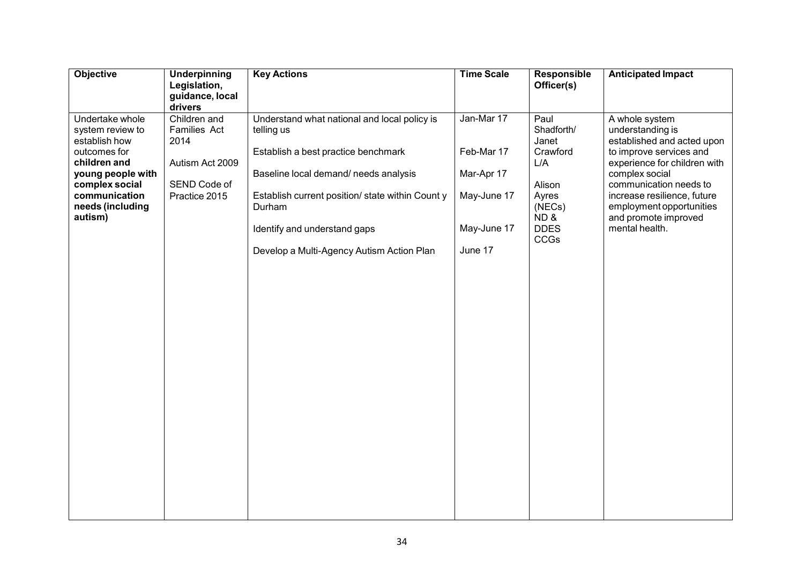| Objective                                                                                                                                                                   | <b>Underpinning</b><br>Legislation,<br>guidance, local                                              | <b>Key Actions</b>                                                                                                                                                                                                                                                                   | <b>Time Scale</b>                                                               | Responsible<br>Officer(s)                                                                                        | <b>Anticipated Impact</b>                                                                                                                                                                                                                                                    |
|-----------------------------------------------------------------------------------------------------------------------------------------------------------------------------|-----------------------------------------------------------------------------------------------------|--------------------------------------------------------------------------------------------------------------------------------------------------------------------------------------------------------------------------------------------------------------------------------------|---------------------------------------------------------------------------------|------------------------------------------------------------------------------------------------------------------|------------------------------------------------------------------------------------------------------------------------------------------------------------------------------------------------------------------------------------------------------------------------------|
| Undertake whole<br>system review to<br>establish how<br>outcomes for<br>children and<br>young people with<br>complex social<br>communication<br>needs (including<br>autism) | drivers<br>Children and<br>Families Act<br>2014<br>Autism Act 2009<br>SEND Code of<br>Practice 2015 | Understand what national and local policy is<br>telling us<br>Establish a best practice benchmark<br>Baseline local demand/needs analysis<br>Establish current position/ state within Count y<br>Durham<br>Identify and understand gaps<br>Develop a Multi-Agency Autism Action Plan | Jan-Mar 17<br>Feb-Mar 17<br>Mar-Apr 17<br>May-June 17<br>May-June 17<br>June 17 | Paul<br>Shadforth/<br>Janet<br>Crawford<br>L/A<br>Alison<br>Ayres<br>(NECs)<br>ND&<br><b>DDES</b><br><b>CCGs</b> | A whole system<br>understanding is<br>established and acted upon<br>to improve services and<br>experience for children with<br>complex social<br>communication needs to<br>increase resilience, future<br>employment opportunities<br>and promote improved<br>mental health. |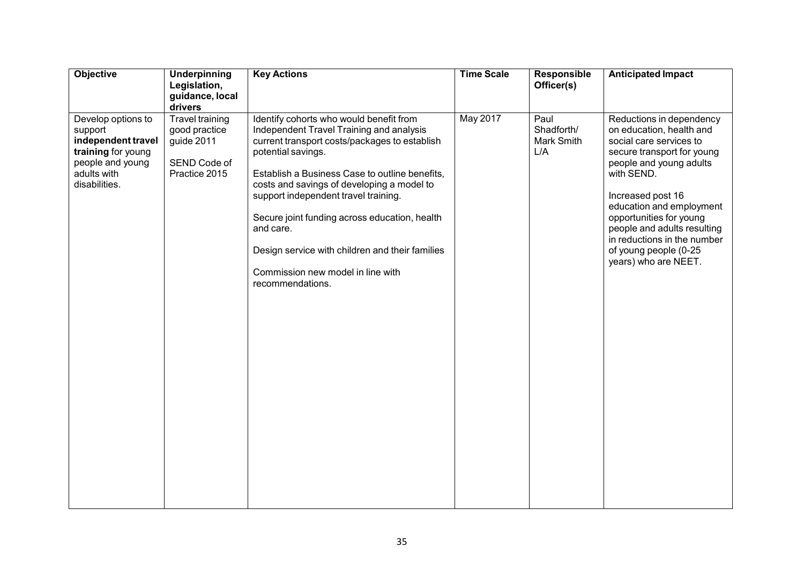| Objective                                                                                                                     | Underpinning<br>Legislation,<br>guidance, local<br>drivers                             | <b>Key Actions</b>                                                                                                                                                                                                                                                                                                                                                                                                                                                           | <b>Time Scale</b> | Responsible<br>Officer(s)               | <b>Anticipated Impact</b>                                                                                                                                                                                                                                                                                                                         |
|-------------------------------------------------------------------------------------------------------------------------------|----------------------------------------------------------------------------------------|------------------------------------------------------------------------------------------------------------------------------------------------------------------------------------------------------------------------------------------------------------------------------------------------------------------------------------------------------------------------------------------------------------------------------------------------------------------------------|-------------------|-----------------------------------------|---------------------------------------------------------------------------------------------------------------------------------------------------------------------------------------------------------------------------------------------------------------------------------------------------------------------------------------------------|
| Develop options to<br>support<br>independent travel<br>training for young<br>people and young<br>adults with<br>disabilities. | <b>Travel training</b><br>good practice<br>guide 2011<br>SEND Code of<br>Practice 2015 | Identify cohorts who would benefit from<br>Independent Travel Training and analysis<br>current transport costs/packages to establish<br>potential savings.<br>Establish a Business Case to outline benefits,<br>costs and savings of developing a model to<br>support independent travel training.<br>Secure joint funding across education, health<br>and care.<br>Design service with children and their families<br>Commission new model in line with<br>recommendations. | <b>May 2017</b>   | Paul<br>Shadforth/<br>Mark Smith<br>L/A | Reductions in dependency<br>on education, health and<br>social care services to<br>secure transport for young<br>people and young adults<br>with SEND.<br>Increased post 16<br>education and employment<br>opportunities for young<br>people and adults resulting<br>in reductions in the number<br>of young people (0-25<br>years) who are NEET. |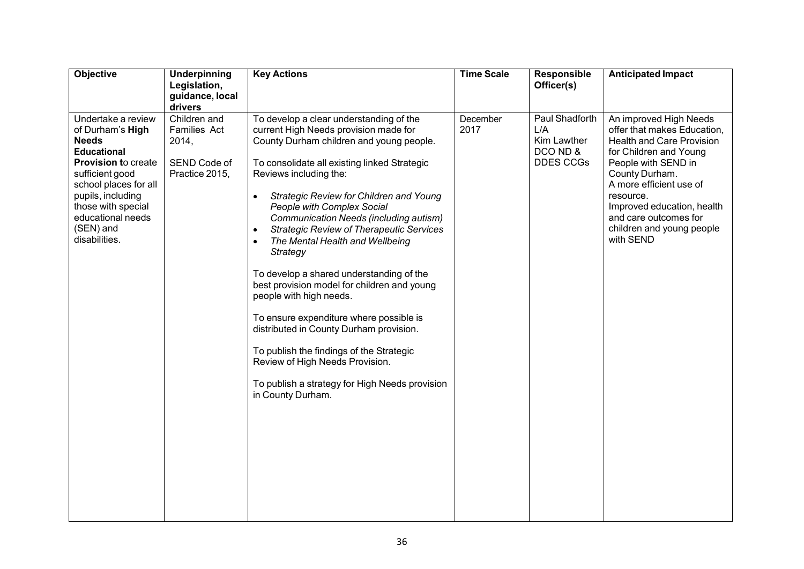| Objective                                                                                                                                                                                                                                            | Underpinning<br>Legislation,<br>guidance, local<br>drivers              | <b>Key Actions</b>                                                                                                                                                                                                                                                                                                                                                                                                                                                                                                                                                                                                                                                                                                                                                                                                      | <b>Time Scale</b> | Responsible<br>Officer(s)                                            | <b>Anticipated Impact</b>                                                                                                                                                                                                                                                                             |
|------------------------------------------------------------------------------------------------------------------------------------------------------------------------------------------------------------------------------------------------------|-------------------------------------------------------------------------|-------------------------------------------------------------------------------------------------------------------------------------------------------------------------------------------------------------------------------------------------------------------------------------------------------------------------------------------------------------------------------------------------------------------------------------------------------------------------------------------------------------------------------------------------------------------------------------------------------------------------------------------------------------------------------------------------------------------------------------------------------------------------------------------------------------------------|-------------------|----------------------------------------------------------------------|-------------------------------------------------------------------------------------------------------------------------------------------------------------------------------------------------------------------------------------------------------------------------------------------------------|
| Undertake a review<br>of Durham's High<br><b>Needs</b><br><b>Educational</b><br><b>Provision to create</b><br>sufficient good<br>school places for all<br>pupils, including<br>those with special<br>educational needs<br>(SEN) and<br>disabilities. | Children and<br>Families Act<br>2014,<br>SEND Code of<br>Practice 2015, | To develop a clear understanding of the<br>current High Needs provision made for<br>County Durham children and young people.<br>To consolidate all existing linked Strategic<br>Reviews including the:<br>Strategic Review for Children and Young<br>People with Complex Social<br>Communication Needs (including autism)<br><b>Strategic Review of Therapeutic Services</b><br>$\bullet$<br>The Mental Health and Wellbeing<br>$\bullet$<br>Strategy<br>To develop a shared understanding of the<br>best provision model for children and young<br>people with high needs.<br>To ensure expenditure where possible is<br>distributed in County Durham provision.<br>To publish the findings of the Strategic<br>Review of High Needs Provision.<br>To publish a strategy for High Needs provision<br>in County Durham. | December<br>2017  | Paul Shadforth<br>L/A<br>Kim Lawther<br>DCO ND &<br><b>DDES CCGs</b> | An improved High Needs<br>offer that makes Education,<br><b>Health and Care Provision</b><br>for Children and Young<br>People with SEND in<br>County Durham.<br>A more efficient use of<br>resource.<br>Improved education, health<br>and care outcomes for<br>children and young people<br>with SEND |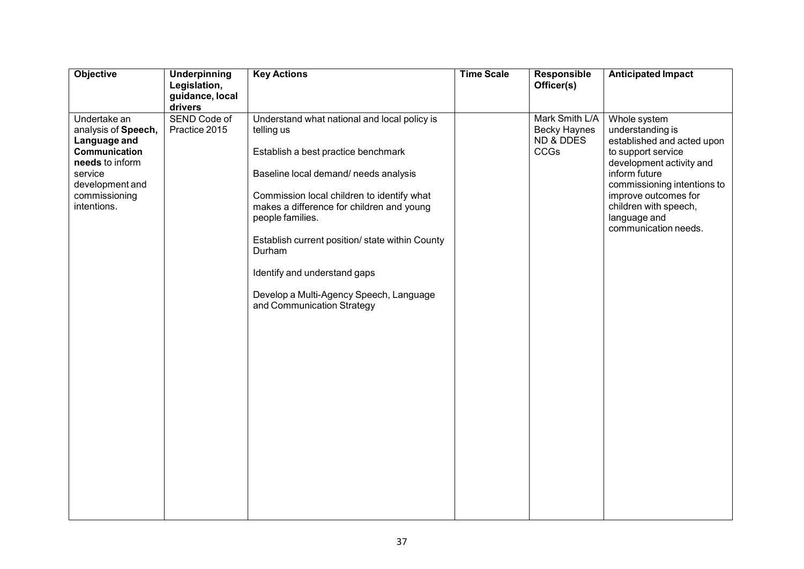| Objective                                                                                                                                             | Underpinning<br>Legislation,<br>guidance, local<br>drivers | <b>Key Actions</b>                                                                                                                                                                                                                                                                                                                                                                                                              | <b>Time Scale</b> | Responsible<br>Officer(s)                                  | <b>Anticipated Impact</b>                                                                                                                                                                                                                                 |
|-------------------------------------------------------------------------------------------------------------------------------------------------------|------------------------------------------------------------|---------------------------------------------------------------------------------------------------------------------------------------------------------------------------------------------------------------------------------------------------------------------------------------------------------------------------------------------------------------------------------------------------------------------------------|-------------------|------------------------------------------------------------|-----------------------------------------------------------------------------------------------------------------------------------------------------------------------------------------------------------------------------------------------------------|
| Undertake an<br>analysis of Speech,<br>Language and<br>Communication<br>needs to inform<br>service<br>development and<br>commissioning<br>intentions. | SEND Code of<br>Practice 2015                              | Understand what national and local policy is<br>telling us<br>Establish a best practice benchmark<br>Baseline local demand/ needs analysis<br>Commission local children to identify what<br>makes a difference for children and young<br>people families.<br>Establish current position/ state within County<br>Durham<br>Identify and understand gaps<br>Develop a Multi-Agency Speech, Language<br>and Communication Strategy |                   | Mark Smith L/A<br><b>Becky Haynes</b><br>ND & DDES<br>CCGs | Whole system<br>understanding is<br>established and acted upon<br>to support service<br>development activity and<br>inform future<br>commissioning intentions to<br>improve outcomes for<br>children with speech,<br>language and<br>communication needs. |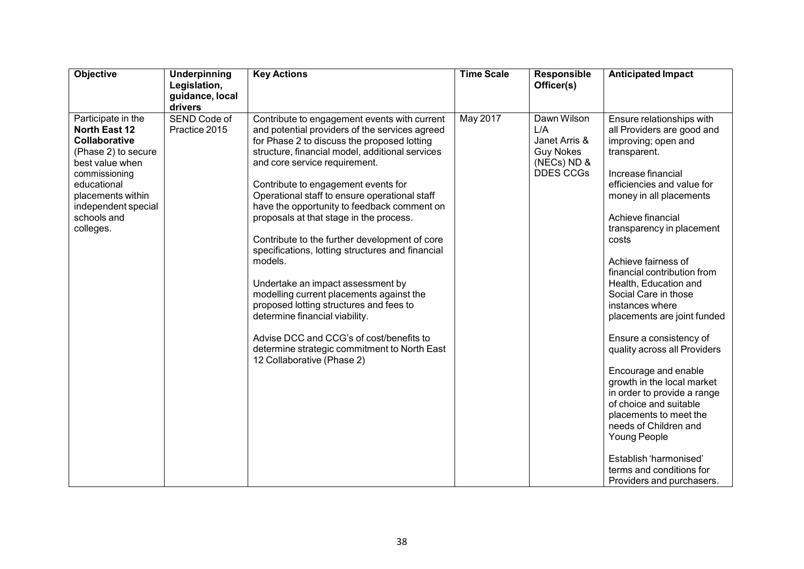| Objective                                                                                                                                                                                                     | Underpinning<br>Legislation,<br>guidance, local<br>drivers | <b>Key Actions</b>                                                                                                                                                                                                                                                                                                                                                                                                                                                                                                                                                                                                                                                                                                                                                                                                          | <b>Time Scale</b> | <b>Responsible</b><br>Officer(s)                                                           | <b>Anticipated Impact</b>                                                                                                                                                                                                                                                                                                                                                                                                                                                                                                                                                                                                                                                                                                         |
|---------------------------------------------------------------------------------------------------------------------------------------------------------------------------------------------------------------|------------------------------------------------------------|-----------------------------------------------------------------------------------------------------------------------------------------------------------------------------------------------------------------------------------------------------------------------------------------------------------------------------------------------------------------------------------------------------------------------------------------------------------------------------------------------------------------------------------------------------------------------------------------------------------------------------------------------------------------------------------------------------------------------------------------------------------------------------------------------------------------------------|-------------------|--------------------------------------------------------------------------------------------|-----------------------------------------------------------------------------------------------------------------------------------------------------------------------------------------------------------------------------------------------------------------------------------------------------------------------------------------------------------------------------------------------------------------------------------------------------------------------------------------------------------------------------------------------------------------------------------------------------------------------------------------------------------------------------------------------------------------------------------|
| Participate in the<br><b>North East 12</b><br>Collaborative<br>(Phase 2) to secure<br>best value when<br>commissioning<br>educational<br>placements within<br>independent special<br>schools and<br>colleges. | SEND Code of<br>Practice 2015                              | Contribute to engagement events with current<br>and potential providers of the services agreed<br>for Phase 2 to discuss the proposed lotting<br>structure, financial model, additional services<br>and core service requirement.<br>Contribute to engagement events for<br>Operational staff to ensure operational staff<br>have the opportunity to feedback comment on<br>proposals at that stage in the process.<br>Contribute to the further development of core<br>specifications, lotting structures and financial<br>models.<br>Undertake an impact assessment by<br>modelling current placements against the<br>proposed lotting structures and fees to<br>determine financial viability.<br>Advise DCC and CCG's of cost/benefits to<br>determine strategic commitment to North East<br>12 Collaborative (Phase 2) | <b>May 2017</b>   | Dawn Wilson<br>L/A<br>Janet Arris &<br><b>Guy Nokes</b><br>(NECs) ND &<br><b>DDES CCGs</b> | Ensure relationships with<br>all Providers are good and<br>improving; open and<br>transparent.<br>Increase financial<br>efficiencies and value for<br>money in all placements<br>Achieve financial<br>transparency in placement<br>costs<br>Achieve fairness of<br>financial contribution from<br>Health, Education and<br>Social Care in those<br>instances where<br>placements are joint funded<br>Ensure a consistency of<br>quality across all Providers<br>Encourage and enable<br>growth in the local market<br>in order to provide a range<br>of choice and suitable<br>placements to meet the<br>needs of Children and<br>Young People<br>Establish 'harmonised'<br>terms and conditions for<br>Providers and purchasers. |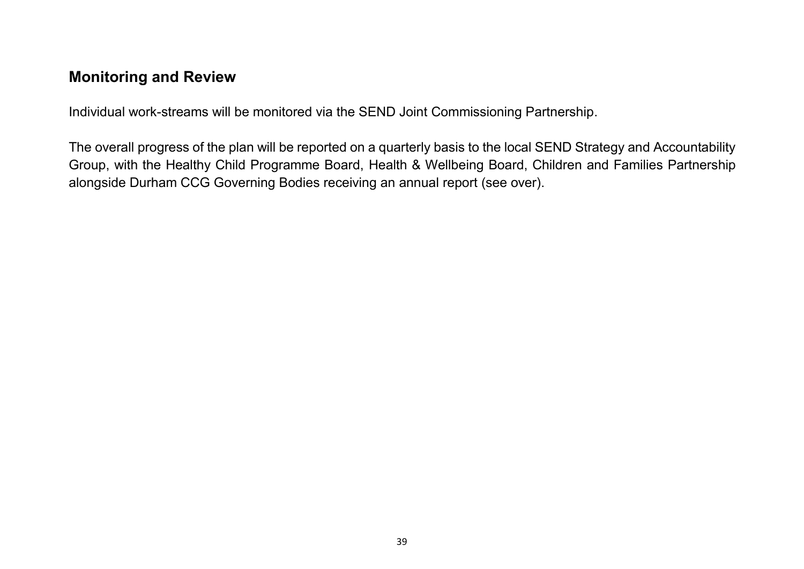# <span id="page-38-0"></span>**Monitoring and Review**

Individual work-streams will be monitored via the SEND Joint Commissioning Partnership.

The overall progress of the plan will be reported on a quarterly basis to the local SEND Strategy and Accountability Group, with the Healthy Child Programme Board, Health & Wellbeing Board, Children and Families Partnership alongside Durham CCG Governing Bodies receiving an annual report (see over).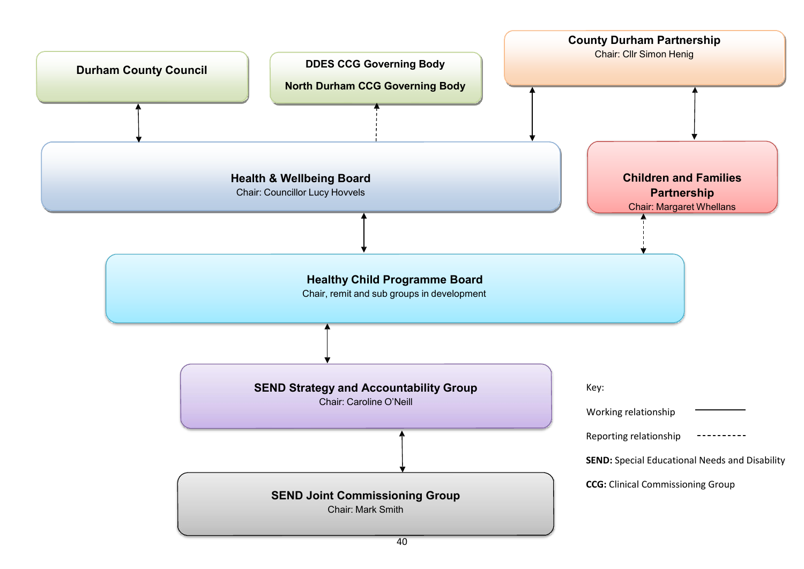